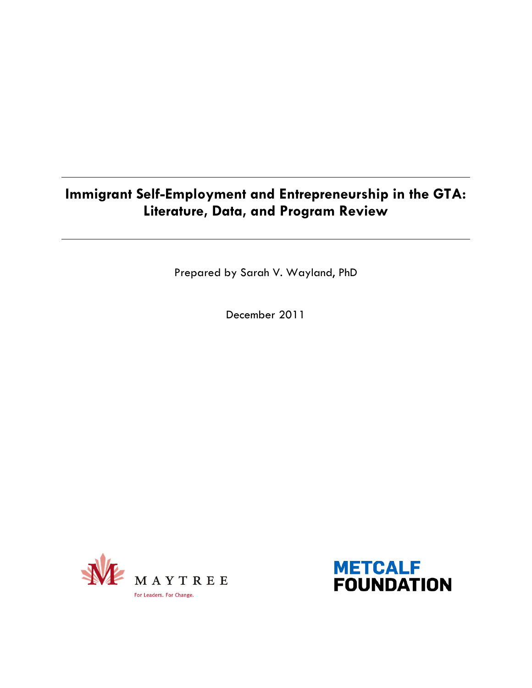## Immigrant Self-Employment and Entrepreneurship in the GTA: Literature, Data, and Program Review

Prepared by Sarah V. Wayland, PhD

December 2011



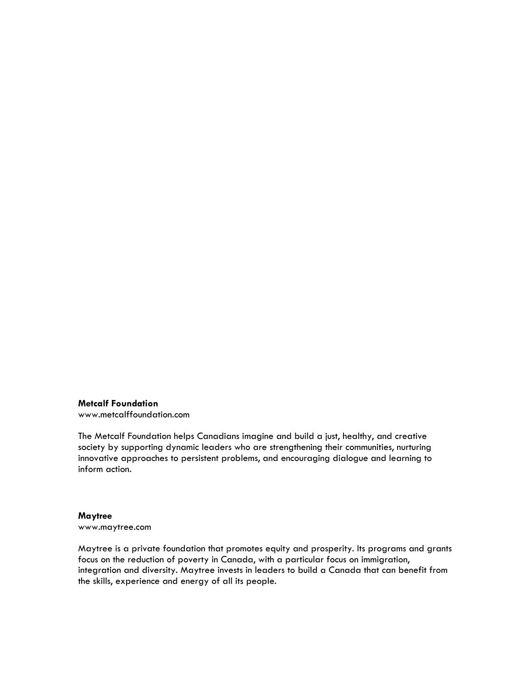#### Metcalf Foundation

www.metcalffoundation.com

The Metcalf Foundation helps Canadians imagine and build a just, healthy, and creative society by supporting dynamic leaders who are strengthening their communities, nurturing innovative approaches to persistent problems, and encouraging dialogue and learning to inform action.

#### **Maytree**

www.maytree.com

Maytree is a private foundation that promotes equity and prosperity. Its programs and grants focus on the reduction of poverty in Canada, with a particular focus on immigration, integration and diversity. Maytree invests in leaders to build a Canada that can benefit from the skills, experience and energy of all its people.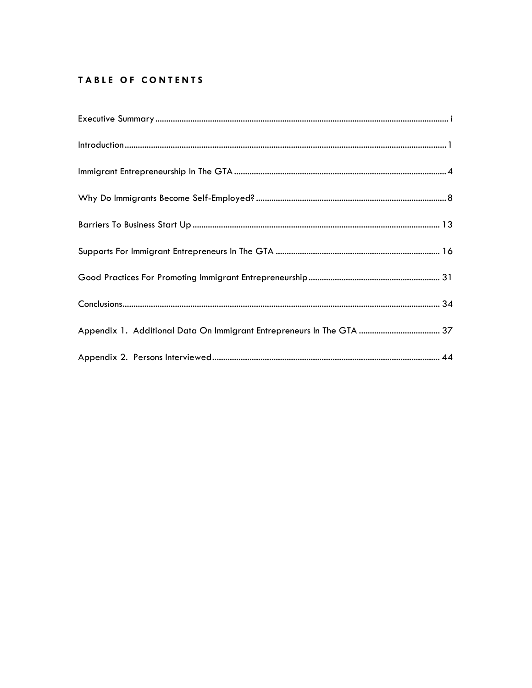## TABLE OF CONTENTS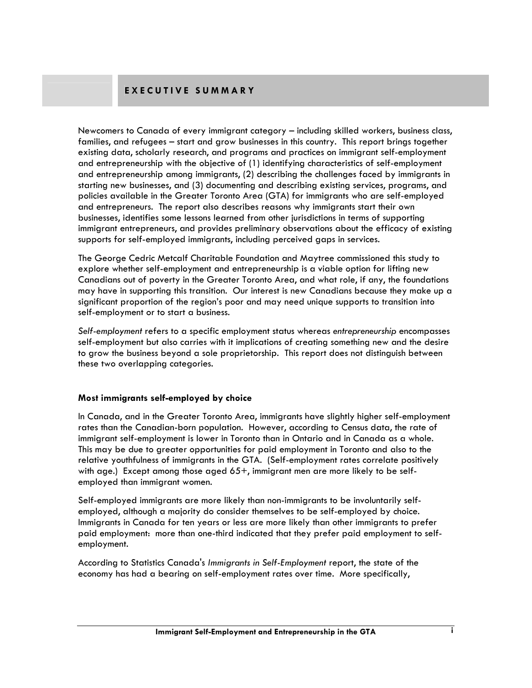## EXECUTIVE SUMMARY

Newcomers to Canada of every immigrant category – including skilled workers, business class, families, and refugees – start and grow businesses in this country. This report brings together existing data, scholarly research, and programs and practices on immigrant self-employment and entrepreneurship with the objective of (1) identifying characteristics of self-employment and entrepreneurship among immigrants, (2) describing the challenges faced by immigrants in starting new businesses, and (3) documenting and describing existing services, programs, and policies available in the Greater Toronto Area (GTA) for immigrants who are self-employed and entrepreneurs. The report also describes reasons why immigrants start their own businesses, identifies some lessons learned from other jurisdictions in terms of supporting immigrant entrepreneurs, and provides preliminary observations about the efficacy of existing supports for self-employed immigrants, including perceived gaps in services.

The George Cedric Metcalf Charitable Foundation and Maytree commissioned this study to explore whether self-employment and entrepreneurship is a viable option for lifting new Canadians out of poverty in the Greater Toronto Area, and what role, if any, the foundations may have in supporting this transition. Our interest is new Canadians because they make up a significant proportion of the region's poor and may need unique supports to transition into self-employment or to start a business.

Self-employment refers to a specific employment status whereas entrepreneurship encompasses self-employment but also carries with it implications of creating something new and the desire to grow the business beyond a sole proprietorship. This report does not distinguish between these two overlapping categories.

#### Most immigrants self-employed by choice

In Canada, and in the Greater Toronto Area, immigrants have slightly higher self-employment rates than the Canadian-born population. However, according to Census data, the rate of immigrant self-employment is lower in Toronto than in Ontario and in Canada as a whole. This may be due to greater opportunities for paid employment in Toronto and also to the relative youthfulness of immigrants in the GTA. (Self-employment rates correlate positively with age.) Except among those aged 65+, immigrant men are more likely to be selfemployed than immigrant women.

Self-employed immigrants are more likely than non-immigrants to be involuntarily selfemployed, although a majority do consider themselves to be self-employed by choice. Immigrants in Canada for ten years or less are more likely than other immigrants to prefer paid employment: more than one-third indicated that they prefer paid employment to selfemployment.

According to Statistics Canada's Immigrants in Self-Employment report, the state of the economy has had a bearing on self-employment rates over time. More specifically,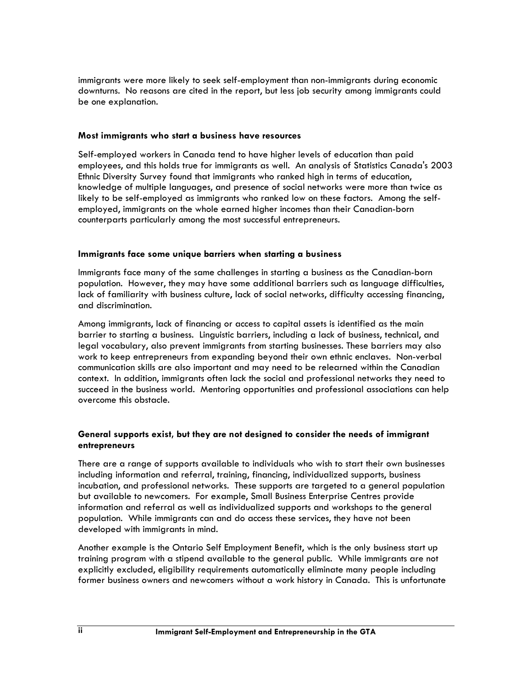immigrants were more likely to seek self-employment than non-immigrants during economic downturns. No reasons are cited in the report, but less job security among immigrants could be one explanation.

#### Most immigrants who start a business have resources

Self-employed workers in Canada tend to have higher levels of education than paid employees, and this holds true for immigrants as well. An analysis of Statistics Canada's 2003 Ethnic Diversity Survey found that immigrants who ranked high in terms of education, knowledge of multiple languages, and presence of social networks were more than twice as likely to be self-employed as immigrants who ranked low on these factors. Among the selfemployed, immigrants on the whole earned higher incomes than their Canadian-born counterparts particularly among the most successful entrepreneurs.

#### Immigrants face some unique barriers when starting a business

Immigrants face many of the same challenges in starting a business as the Canadian-born population. However, they may have some additional barriers such as language difficulties, lack of familiarity with business culture, lack of social networks, difficulty accessing financing, and discrimination.

Among immigrants, lack of financing or access to capital assets is identified as the main barrier to starting a business. Linguistic barriers, including a lack of business, technical, and legal vocabulary, also prevent immigrants from starting businesses. These barriers may also work to keep entrepreneurs from expanding beyond their own ethnic enclaves. Non-verbal communication skills are also important and may need to be relearned within the Canadian context. In addition, immigrants often lack the social and professional networks they need to succeed in the business world. Mentoring opportunities and professional associations can help overcome this obstacle.

#### General supports exist, but they are not designed to consider the needs of immigrant entrepreneurs

There are a range of supports available to individuals who wish to start their own businesses including information and referral, training, financing, individualized supports, business incubation, and professional networks. These supports are targeted to a general population but available to newcomers. For example, Small Business Enterprise Centres provide information and referral as well as individualized supports and workshops to the general population. While immigrants can and do access these services, they have not been developed with immigrants in mind.

Another example is the Ontario Self Employment Benefit, which is the only business start up training program with a stipend available to the general public. While immigrants are not explicitly excluded, eligibility requirements automatically eliminate many people including former business owners and newcomers without a work history in Canada. This is unfortunate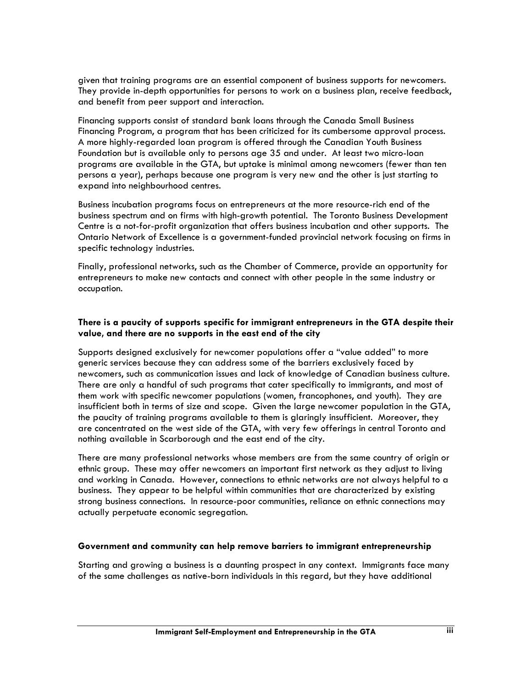given that training programs are an essential component of business supports for newcomers. They provide in-depth opportunities for persons to work on a business plan, receive feedback, and benefit from peer support and interaction.

Financing supports consist of standard bank loans through the Canada Small Business Financing Program, a program that has been criticized for its cumbersome approval process. A more highly-regarded loan program is offered through the Canadian Youth Business Foundation but is available only to persons age 35 and under. At least two micro-loan programs are available in the GTA, but uptake is minimal among newcomers (fewer than ten persons a year), perhaps because one program is very new and the other is just starting to expand into neighbourhood centres.

Business incubation programs focus on entrepreneurs at the more resource-rich end of the business spectrum and on firms with high-growth potential. The Toronto Business Development Centre is a not-for-profit organization that offers business incubation and other supports. The Ontario Network of Excellence is a government-funded provincial network focusing on firms in specific technology industries.

Finally, professional networks, such as the Chamber of Commerce, provide an opportunity for entrepreneurs to make new contacts and connect with other people in the same industry or occupation.

#### There is a paucity of supports specific for immigrant entrepreneurs in the GTA despite their value, and there are no supports in the east end of the city

Supports designed exclusively for newcomer populations offer a "value added" to more generic services because they can address some of the barriers exclusively faced by newcomers, such as communication issues and lack of knowledge of Canadian business culture. There are only a handful of such programs that cater specifically to immigrants, and most of them work with specific newcomer populations (women, francophones, and youth). They are insufficient both in terms of size and scope. Given the large newcomer population in the GTA, the paucity of training programs available to them is glaringly insufficient. Moreover, they are concentrated on the west side of the GTA, with very few offerings in central Toronto and nothing available in Scarborough and the east end of the city.

There are many professional networks whose members are from the same country of origin or ethnic group. These may offer newcomers an important first network as they adjust to living and working in Canada. However, connections to ethnic networks are not always helpful to a business. They appear to be helpful within communities that are characterized by existing strong business connections. In resource-poor communities, reliance on ethnic connections may actually perpetuate economic segregation.

#### Government and community can help remove barriers to immigrant entrepreneurship

Starting and growing a business is a daunting prospect in any context. Immigrants face many of the same challenges as native-born individuals in this regard, but they have additional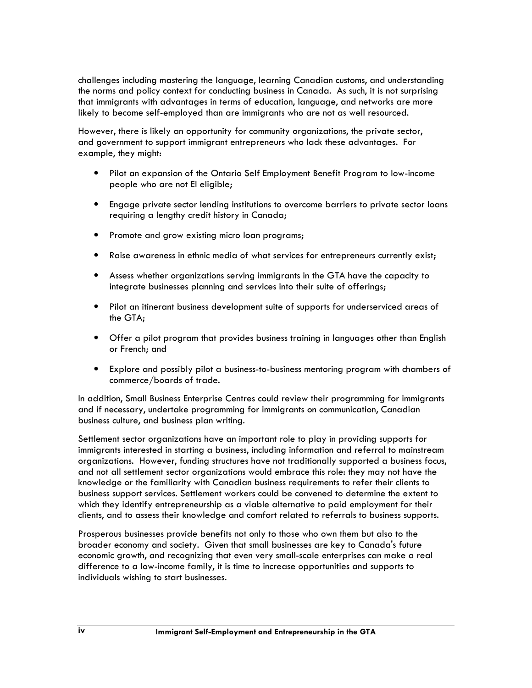challenges including mastering the language, learning Canadian customs, and understanding the norms and policy context for conducting business in Canada. As such, it is not surprising that immigrants with advantages in terms of education, language, and networks are more likely to become self-employed than are immigrants who are not as well resourced.

However, there is likely an opportunity for community organizations, the private sector, and government to support immigrant entrepreneurs who lack these advantages. For example, they might:

- Pilot an expansion of the Ontario Self Employment Benefit Program to low-income people who are not EI eligible;
- Engage private sector lending institutions to overcome barriers to private sector loans requiring a lengthy credit history in Canada;
- Promote and grow existing micro loan programs;
- Raise awareness in ethnic media of what services for entrepreneurs currently exist;
- Assess whether organizations serving immigrants in the GTA have the capacity to integrate businesses planning and services into their suite of offerings;
- Pilot an itinerant business development suite of supports for underserviced areas of the GTA;
- Offer a pilot program that provides business training in languages other than English or French; and
- Explore and possibly pilot a business-to-business mentoring program with chambers of commerce/boards of trade.

In addition, Small Business Enterprise Centres could review their programming for immigrants and if necessary, undertake programming for immigrants on communication, Canadian business culture, and business plan writing.

Settlement sector organizations have an important role to play in providing supports for immigrants interested in starting a business, including information and referral to mainstream organizations. However, funding structures have not traditionally supported a business focus, and not all settlement sector organizations would embrace this role: they may not have the knowledge or the familiarity with Canadian business requirements to refer their clients to business support services. Settlement workers could be convened to determine the extent to which they identify entrepreneurship as a viable alternative to paid employment for their clients, and to assess their knowledge and comfort related to referrals to business supports.

Prosperous businesses provide benefits not only to those who own them but also to the broader economy and society. Given that small businesses are key to Canada's future economic growth, and recognizing that even very small-scale enterprises can make a real difference to a low-income family, it is time to increase opportunities and supports to individuals wishing to start businesses.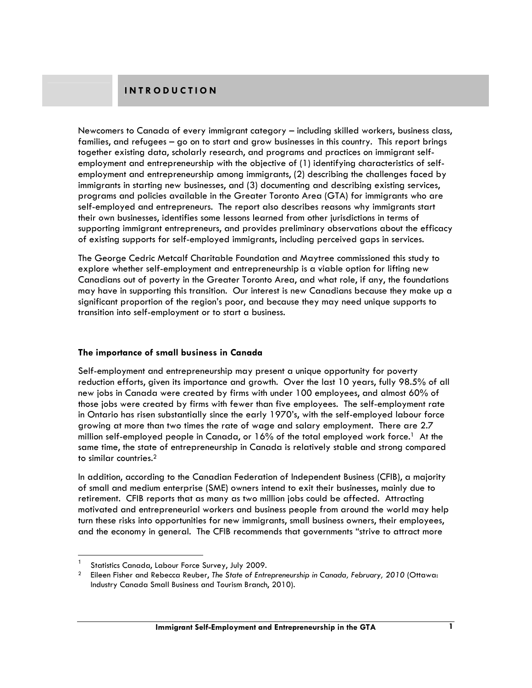Newcomers to Canada of every immigrant category – including skilled workers, business class, families, and refugees – go on to start and grow businesses in this country. This report brings together existing data, scholarly research, and programs and practices on immigrant selfemployment and entrepreneurship with the objective of (1) identifying characteristics of selfemployment and entrepreneurship among immigrants, (2) describing the challenges faced by immigrants in starting new businesses, and (3) documenting and describing existing services, programs and policies available in the Greater Toronto Area (GTA) for immigrants who are self-employed and entrepreneurs. The report also describes reasons why immigrants start their own businesses, identifies some lessons learned from other jurisdictions in terms of supporting immigrant entrepreneurs, and provides preliminary observations about the efficacy of existing supports for self-employed immigrants, including perceived gaps in services.

The George Cedric Metcalf Charitable Foundation and Maytree commissioned this study to explore whether self-employment and entrepreneurship is a viable option for lifting new Canadians out of poverty in the Greater Toronto Area, and what role, if any, the foundations may have in supporting this transition. Our interest is new Canadians because they make up a significant proportion of the region's poor, and because they may need unique supports to transition into self-employment or to start a business.

#### The importance of small business in Canada

Self-employment and entrepreneurship may present a unique opportunity for poverty reduction efforts, given its importance and growth. Over the last 10 years, fully 98.5% of all new jobs in Canada were created by firms with under 100 employees, and almost 60% of those jobs were created by firms with fewer than five employees. The self-employment rate in Ontario has risen substantially since the early 1970's, with the self-employed labour force growing at more than two times the rate of wage and salary employment. There are 2.7 million self-employed people in Canada, or  $16\%$  of the total employed work force.<sup>1</sup> At the same time, the state of entrepreneurship in Canada is relatively stable and strong compared to similar countries.<sup>2</sup>

In addition, according to the Canadian Federation of Independent Business (CFIB), a majority of small and medium enterprise (SME) owners intend to exit their businesses, mainly due to retirement. CFIB reports that as many as two million jobs could be affected. Attracting motivated and entrepreneurial workers and business people from around the world may help turn these risks into opportunities for new immigrants, small business owners, their employees, and the economy in general. The CFIB recommends that governments "strive to attract more

<sup>1</sup> Statistics Canada, Labour Force Survey, July 2009.

<sup>2</sup> Eileen Fisher and Rebecca Reuber, The State of Entrepreneurship in Canada, February, 2010 (Ottawa: Industry Canada Small Business and Tourism Branch, 2010).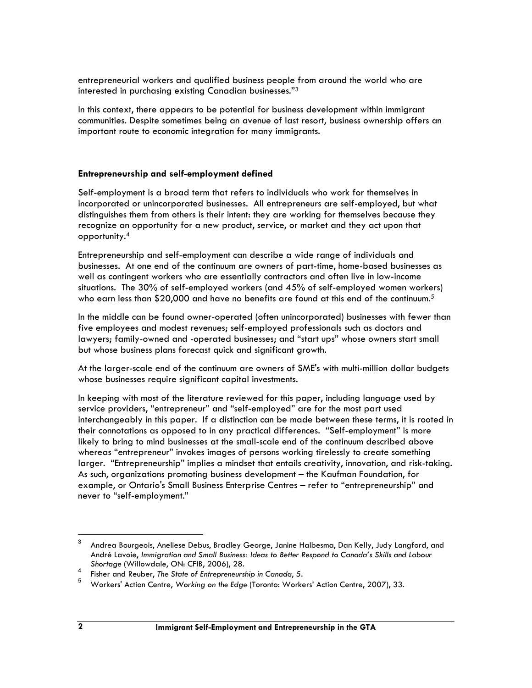entrepreneurial workers and qualified business people from around the world who are interested in purchasing existing Canadian businesses."<sup>3</sup>

In this context, there appears to be potential for business development within immigrant communities. Despite sometimes being an avenue of last resort, business ownership offers an important route to economic integration for many immigrants.

#### Entrepreneurship and self-employment defined

Self-employment is a broad term that refers to individuals who work for themselves in incorporated or unincorporated businesses. All entrepreneurs are self-employed, but what distinguishes them from others is their intent: they are working for themselves because they recognize an opportunity for a new product, service, or market and they act upon that opportunity.<sup>4</sup>

Entrepreneurship and self-employment can describe a wide range of individuals and businesses. At one end of the continuum are owners of part-time, home-based businesses as well as contingent workers who are essentially contractors and often live in low-income situations. The 30% of self-employed workers (and 45% of self-employed women workers) who earn less than \$20,000 and have no benefits are found at this end of the continuum.<sup>5</sup>

In the middle can be found owner-operated (often unincorporated) businesses with fewer than five employees and modest revenues; self-employed professionals such as doctors and lawyers; family-owned and -operated businesses; and "start ups" whose owners start small but whose business plans forecast quick and significant growth.

At the larger-scale end of the continuum are owners of SME's with multi-million dollar budgets whose businesses require significant capital investments.

In keeping with most of the literature reviewed for this paper, including language used by service providers, "entrepreneur" and "self-employed" are for the most part used interchangeably in this paper. If a distinction can be made between these terms, it is rooted in their connotations as opposed to in any practical differences. "Self-employment" is more likely to bring to mind businesses at the small-scale end of the continuum described above whereas "entrepreneur" invokes images of persons working tirelessly to create something larger. "Entrepreneurship" implies a mindset that entails creativity, innovation, and risk-taking. As such, organizations promoting business development – the Kaufman Foundation, for example, or Ontario's Small Business Enterprise Centres – refer to "entrepreneurship" and never to "self-employment."

<sup>3</sup> Andrea Bourgeois, Aneliese Debus, Bradley George, Janine Halbesma, Dan Kelly, Judy Langford, and André Lavoie, Immigration and Small Business: Ideas to Better Respond to Canada's Skills and Labour Shortage (Willowdale, ON: CFIB, 2006), 28.

<sup>4</sup> Fisher and Reuber, The State of Entrepreneurship in Canada, 5.

<sup>5</sup> Workers' Action Centre, Working on the Edge (Toronto: Workers' Action Centre, 2007), 33.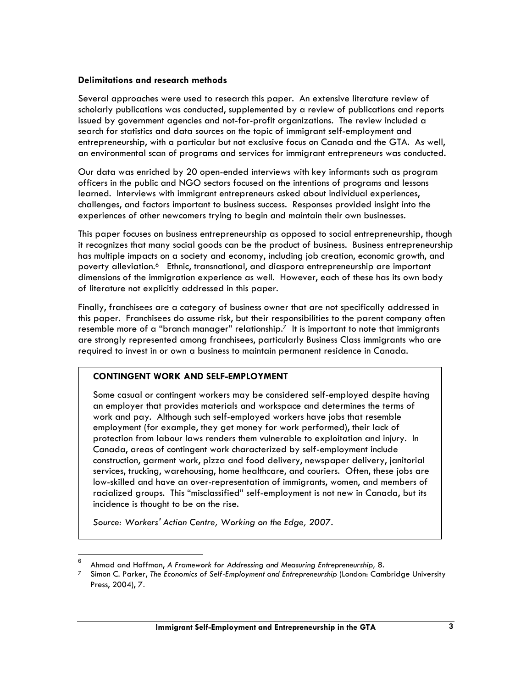#### Delimitations and research methods

Several approaches were used to research this paper. An extensive literature review of scholarly publications was conducted, supplemented by a review of publications and reports issued by government agencies and not-for-profit organizations. The review included a search for statistics and data sources on the topic of immigrant self-employment and entrepreneurship, with a particular but not exclusive focus on Canada and the GTA. As well, an environmental scan of programs and services for immigrant entrepreneurs was conducted.

Our data was enriched by 20 open-ended interviews with key informants such as program officers in the public and NGO sectors focused on the intentions of programs and lessons learned. Interviews with immigrant entrepreneurs asked about individual experiences, challenges, and factors important to business success. Responses provided insight into the experiences of other newcomers trying to begin and maintain their own businesses.

This paper focuses on business entrepreneurship as opposed to social entrepreneurship, though it recognizes that many social goods can be the product of business. Business entrepreneurship has multiple impacts on a society and economy, including job creation, economic growth, and poverty alleviation.<sup>6</sup> Ethnic, transnational, and diaspora entrepreneurship are important dimensions of the immigration experience as well. However, each of these has its own body of literature not explicitly addressed in this paper.

Finally, franchisees are a category of business owner that are not specifically addressed in this paper. Franchisees do assume risk, but their responsibilities to the parent company often resemble more of a "branch manager" relationship. $7$  It is important to note that immigrants are strongly represented among franchisees, particularly Business Class immigrants who are required to invest in or own a business to maintain permanent residence in Canada.

#### CONTINGENT WORK AND SELF-EMPLOYMENT

Some casual or contingent workers may be considered self-employed despite having an employer that provides materials and workspace and determines the terms of work and pay. Although such self-employed workers have jobs that resemble employment (for example, they get money for work performed), their lack of protection from labour laws renders them vulnerable to exploitation and injury. In Canada, areas of contingent work characterized by self-employment include construction, garment work, pizza and food delivery, newspaper delivery, janitorial services, trucking, warehousing, home healthcare, and couriers. Often, these jobs are low-skilled and have an over-representation of immigrants, women, and members of racialized groups. This "misclassified" self-employment is not new in Canada, but its incidence is thought to be on the rise.

Source: Workers' Action Centre, Working on the Edge, 2007.

<sup>6</sup> Ahmad and Hoffman, A Framework for Addressing and Measuring Entrepreneurship, 8.

Simon C. Parker, The Economics of Self-Employment and Entrepreneurship (London: Cambridge University Press, 2004), 7.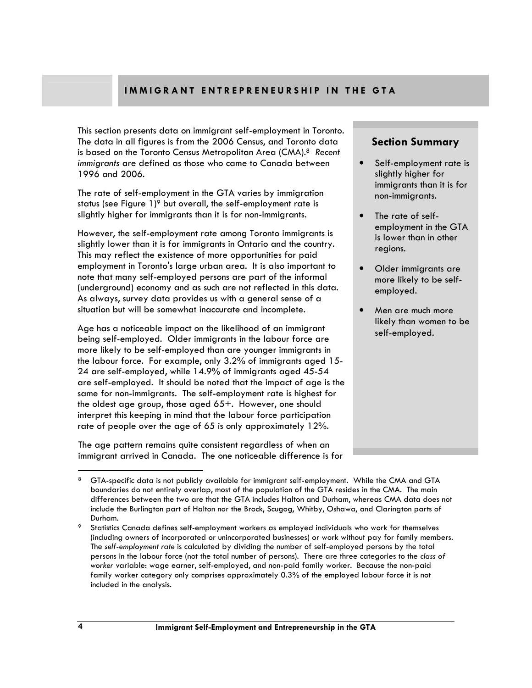### IMMIGRANT ENTREPRENEURSHIP IN THE GTA

This section presents data on immigrant self-employment in Toronto. The data in all figures is from the 2006 Census, and Toronto data is based on the Toronto Census Metropolitan Area (CMA).<sup>8</sup> Recent immigrants are defined as those who came to Canada between 1996 and 2006.

The rate of self-employment in the GTA varies by immigration status (see Figure  $1$ )<sup>9</sup> but overall, the self-employment rate is slightly higher for immigrants than it is for non-immigrants.

However, the self-employment rate among Toronto immigrants is slightly lower than it is for immigrants in Ontario and the country. This may reflect the existence of more opportunities for paid employment in Toronto's large urban area. It is also important to note that many self-employed persons are part of the informal (underground) economy and as such are not reflected in this data. As always, survey data provides us with a general sense of a situation but will be somewhat inaccurate and incomplete.

Age has a noticeable impact on the likelihood of an immigrant being self-employed. Older immigrants in the labour force are more likely to be self-employed than are younger immigrants in the labour force. For example, only 3.2% of immigrants aged 15- 24 are self-employed, while 14.9% of immigrants aged 45-54 are self-employed. It should be noted that the impact of age is the same for non-immigrants. The self-employment rate is highest for the oldest age group, those aged 65+. However, one should interpret this keeping in mind that the labour force participation rate of people over the age of 65 is only approximately 12%.

The age pattern remains quite consistent regardless of when an immigrant arrived in Canada. The one noticeable difference is for

## Section Summary

- Self-employment rate is slightly higher for immigrants than it is for non-immigrants.
- The rate of selfemployment in the GTA is lower than in other regions.
- Older immigrants are more likely to be selfemployed.
- Men are much more likely than women to be self-employed.

<sup>8</sup> GTA-specific data is not publicly available for immigrant self-employment. While the CMA and GTA boundaries do not entirely overlap, most of the population of the GTA resides in the CMA. The main differences between the two are that the GTA includes Halton and Durham, whereas CMA data does not include the Burlington part of Halton nor the Brock, Scugog, Whitby, Oshawa, and Clarington parts of Durham.

<sup>9</sup> Statistics Canada defines self-employment workers as employed individuals who work for themselves (including owners of incorporated or unincorporated businesses) or work without pay for family members. The self-employment rate is calculated by dividing the number of self-employed persons by the total persons in the labour force (not the total number of persons). There are three categories to the class of worker variable: wage earner, self-employed, and non-paid family worker. Because the non-paid family worker category only comprises approximately 0.3% of the employed labour force it is not included in the analysis.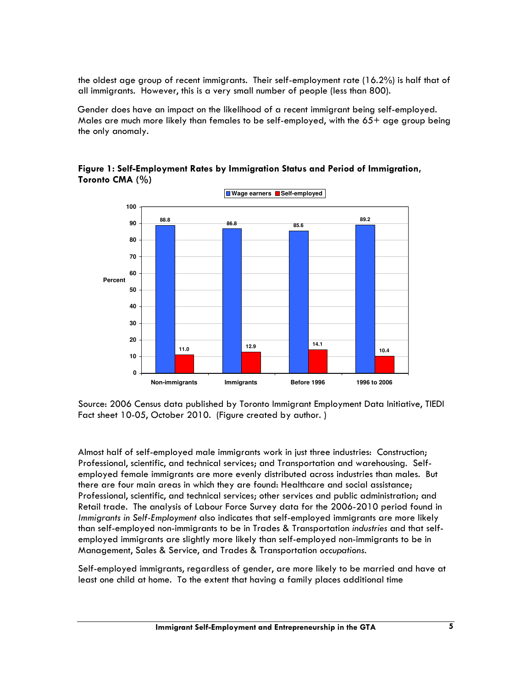the oldest age group of recent immigrants. Their self-employment rate (16.2%) is half that of all immigrants. However, this is a very small number of people (less than 800).

Gender does have an impact on the likelihood of a recent immigrant being self-employed. Males are much more likely than females to be self-employed, with the 65+ age group being the only anomaly.



Figure 1: Self-Employment Rates by Immigration Status and Period of Immigration, Toronto CMA (%)

Source: 2006 Census data published by Toronto Immigrant Employment Data Initiative, TIEDI Fact sheet 10-05, October 2010. (Figure created by author. )

Almost half of self-employed male immigrants work in just three industries: Construction; Professional, scientific, and technical services; and Transportation and warehousing. Selfemployed female immigrants are more evenly distributed across industries than males. But there are four main areas in which they are found: Healthcare and social assistance; Professional, scientific, and technical services; other services and public administration; and Retail trade. The analysis of Labour Force Survey data for the 2006-2010 period found in Immigrants in Self-Employment also indicates that self-employed immigrants are more likely than self-employed non-immigrants to be in Trades & Transportation industries and that selfemployed immigrants are slightly more likely than self-employed non-immigrants to be in Management, Sales & Service, and Trades & Transportation occupations.

Self-employed immigrants, regardless of gender, are more likely to be married and have at least one child at home. To the extent that having a family places additional time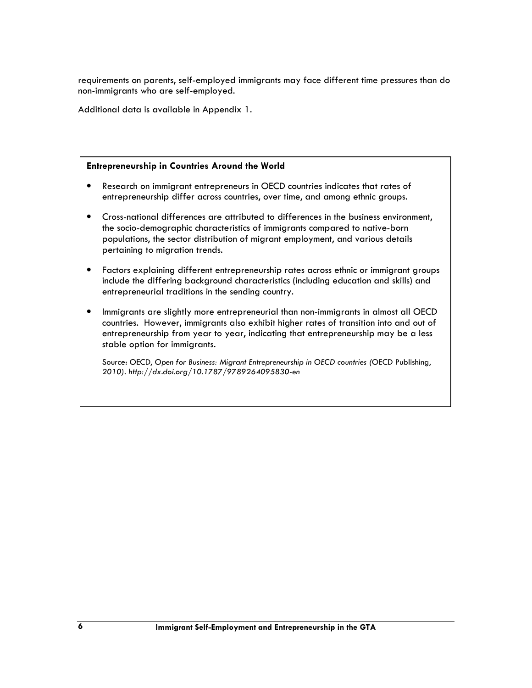requirements on parents, self-employed immigrants may face different time pressures than do non-immigrants who are self-employed.

Additional data is available in Appendix 1.

#### Entrepreneurship in Countries Around the World

- Research on immigrant entrepreneurs in OECD countries indicates that rates of entrepreneurship differ across countries, over time, and among ethnic groups.
- Cross-national differences are attributed to differences in the business environment, the socio-demographic characteristics of immigrants compared to native-born populations, the sector distribution of migrant employment, and various details pertaining to migration trends.
- Factors explaining different entrepreneurship rates across ethnic or immigrant groups include the differing background characteristics (including education and skills) and entrepreneurial traditions in the sending country.
- Immigrants are slightly more entrepreneurial than non-immigrants in almost all OECD countries. However, immigrants also exhibit higher rates of transition into and out of entrepreneurship from year to year, indicating that entrepreneurship may be a less stable option for immigrants.

Source: OECD, Open for Business: Migrant Entrepreneurship in OECD countries (OECD Publishing, 2010). http://dx.doi.org/10.1787/9789264095830-en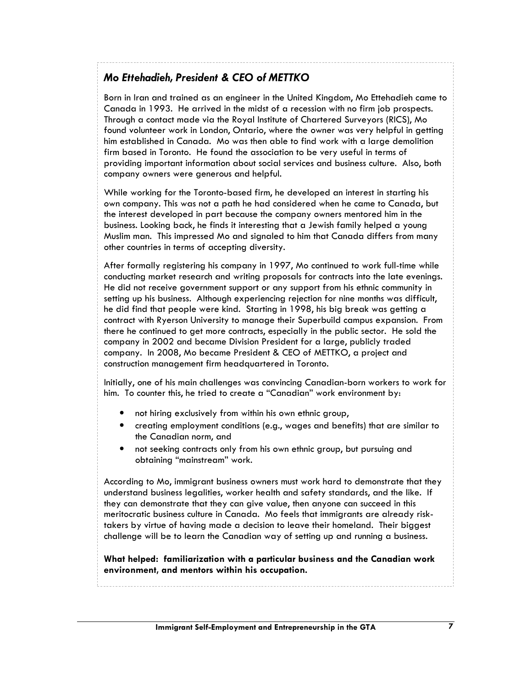## Mo Ettehadieh, President & CEO of METTKO

Born in Iran and trained as an engineer in the United Kingdom, Mo Ettehadieh came to Canada in 1993. He arrived in the midst of a recession with no firm job prospects. Through a contact made via the Royal Institute of Chartered Surveyors (RICS), Mo found volunteer work in London, Ontario, where the owner was very helpful in getting him established in Canada. Mo was then able to find work with a large demolition firm based in Toronto. He found the association to be very useful in terms of providing important information about social services and business culture. Also, both company owners were generous and helpful.

While working for the Toronto-based firm, he developed an interest in starting his own company. This was not a path he had considered when he came to Canada, but the interest developed in part because the company owners mentored him in the business. Looking back, he finds it interesting that a Jewish family helped a young Muslim man. This impressed Mo and signaled to him that Canada differs from many other countries in terms of accepting diversity.

After formally registering his company in 1997, Mo continued to work full-time while conducting market research and writing proposals for contracts into the late evenings. He did not receive government support or any support from his ethnic community in setting up his business. Although experiencing rejection for nine months was difficult, he did find that people were kind. Starting in 1998, his big break was getting a contract with Ryerson University to manage their Superbuild campus expansion. From there he continued to get more contracts, especially in the public sector. He sold the company in 2002 and became Division President for a large, publicly traded company. In 2008, Mo became President & CEO of METTKO, a project and construction management firm headquartered in Toronto.

Initially, one of his main challenges was convincing Canadian-born workers to work for him. To counter this, he tried to create a "Canadian" work environment by:

- not hiring exclusively from within his own ethnic group,
- creating employment conditions (e.g., wages and benefits) that are similar to the Canadian norm, and
- not seeking contracts only from his own ethnic group, but pursuing and obtaining "mainstream" work.

According to Mo, immigrant business owners must work hard to demonstrate that they understand business legalities, worker health and safety standards, and the like. If they can demonstrate that they can give value, then anyone can succeed in this meritocratic business culture in Canada. Mo feels that immigrants are already risktakers by virtue of having made a decision to leave their homeland. Their biggest challenge will be to learn the Canadian way of setting up and running a business.

What helped: familiarization with a particular business and the Canadian work environment, and mentors within his occupation.

Immigrant Self-Employment and Entrepreneurship in the GTA 7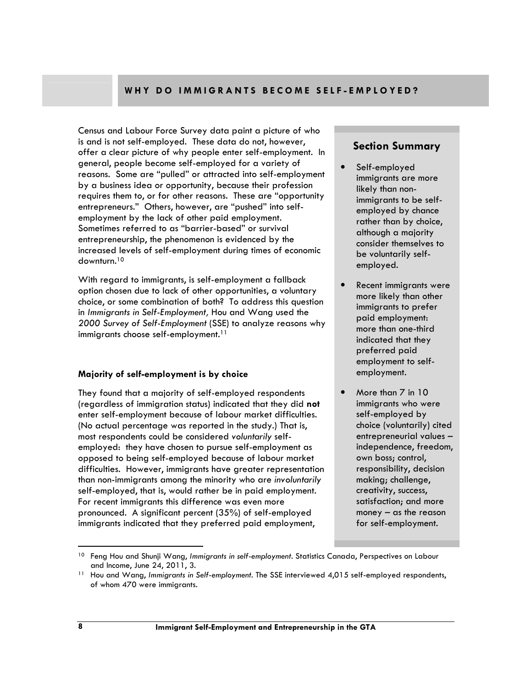### WHY DO IMMIGRANTS BECOME SELF-EMPLOYED?

Census and Labour Force Survey data paint a picture of who is and is not self-employed. These data do not, however, offer a clear picture of why people enter self-employment. In general, people become self-employed for a variety of reasons. Some are "pulled" or attracted into self-employment by a business idea or opportunity, because their profession requires them to, or for other reasons. These are "opportunity entrepreneurs." Others, however, are "pushed" into selfemployment by the lack of other paid employment. Sometimes referred to as "barrier-based" or survival entrepreneurship, the phenomenon is evidenced by the increased levels of self-employment during times of economic downturn.<sup>10</sup>

With regard to immigrants, is self-employment a fallback option chosen due to lack of other opportunities, a voluntary choice, or some combination of both? To address this question in Immigrants in Self-Employment, Hou and Wang used the 2000 Survey of Self-Employment (SSE) to analyze reasons why immigrants choose self-employment.<sup>11</sup>

#### Majority of self-employment is by choice

They found that a majority of self-employed respondents (regardless of immigration status) indicated that they did not enter self-employment because of labour market difficulties. (No actual percentage was reported in the study.) That is, most respondents could be considered voluntarily selfemployed: they have chosen to pursue self-employment as opposed to being self-employed because of labour market difficulties. However, immigrants have greater representation than non-immigrants among the minority who are involuntarily self-employed, that is, would rather be in paid employment. For recent immigrants this difference was even more pronounced. A significant percent (35%) of self-employed immigrants indicated that they preferred paid employment,

#### Section Summary

- Self-employed immigrants are more likely than nonimmigrants to be selfemployed by chance rather than by choice, although a majority consider themselves to be voluntarily selfemployed.
- Recent immigrants were more likely than other immigrants to prefer paid employment: more than one-third indicated that they preferred paid employment to selfemployment.
- More than 7 in 10 immigrants who were self-employed by choice (voluntarily) cited entrepreneurial values – independence, freedom, own boss; control, responsibility, decision making; challenge, creativity, success, satisfaction; and more money  $-$  as the reason for self-employment.

<sup>&</sup>lt;sup>10</sup> Feng Hou and Shunji Wang, Immigrants in self-employment. Statistics Canada, Perspectives on Labour and Income, June 24, 2011, 3.

<sup>&</sup>lt;sup>11</sup> Hou and Wang, Immigrants in Self-employment. The SSE interviewed 4,015 self-employed respondents, of whom 470 were immigrants.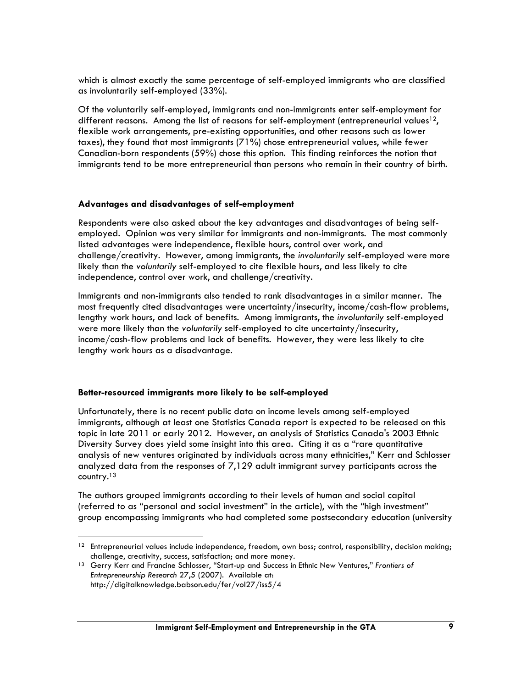which is almost exactly the same percentage of self-employed immigrants who are classified as involuntarily self-employed (33%).

Of the voluntarily self-employed, immigrants and non-immigrants enter self-employment for different reasons. Among the list of reasons for self-employment (entrepreneurial values<sup>12</sup>, flexible work arrangements, pre-existing opportunities, and other reasons such as lower taxes), they found that most immigrants (71%) chose entrepreneurial values, while fewer Canadian-born respondents (59%) chose this option. This finding reinforces the notion that immigrants tend to be more entrepreneurial than persons who remain in their country of birth.

#### Advantages and disadvantages of self-employment

Respondents were also asked about the key advantages and disadvantages of being selfemployed. Opinion was very similar for immigrants and non-immigrants. The most commonly listed advantages were independence, flexible hours, control over work, and challenge/creativity. However, among immigrants, the involuntarily self-employed were more likely than the voluntarily self-employed to cite flexible hours, and less likely to cite independence, control over work, and challenge/creativity.

Immigrants and non-immigrants also tended to rank disadvantages in a similar manner. The most frequently cited disadvantages were uncertainty/insecurity, income/cash-flow problems, lengthy work hours, and lack of benefits. Among immigrants, the involuntarily self-employed were more likely than the voluntarily self-employed to cite uncertainty/insecurity, income/cash-flow problems and lack of benefits. However, they were less likely to cite lengthy work hours as a disadvantage.

#### Better-resourced immigrants more likely to be self-employed

 $\overline{a}$ 

Unfortunately, there is no recent public data on income levels among self-employed immigrants, although at least one Statistics Canada report is expected to be released on this topic in late 2011 or early 2012. However, an analysis of Statistics Canada's 2003 Ethnic Diversity Survey does yield some insight into this area. Citing it as a "rare quantitative analysis of new ventures originated by individuals across many ethnicities," Kerr and Schlosser analyzed data from the responses of 7,129 adult immigrant survey participants across the country.<sup>13</sup>

The authors grouped immigrants according to their levels of human and social capital (referred to as "personal and social investment" in the article), with the "high investment" group encompassing immigrants who had completed some postsecondary education (university

 $12$  Entrepreneurial values include independence, freedom, own boss; control, responsibility, decision making; challenge, creativity, success, satisfaction; and more money.

<sup>&</sup>lt;sup>13</sup> Gerry Kerr and Francine Schlosser, "Start-up and Success in Ethnic New Ventures," Frontiers of Entrepreneurship Research 27,5 (2007). Available at: http://digitalknowledge.babson.edu/fer/vol27/iss5/4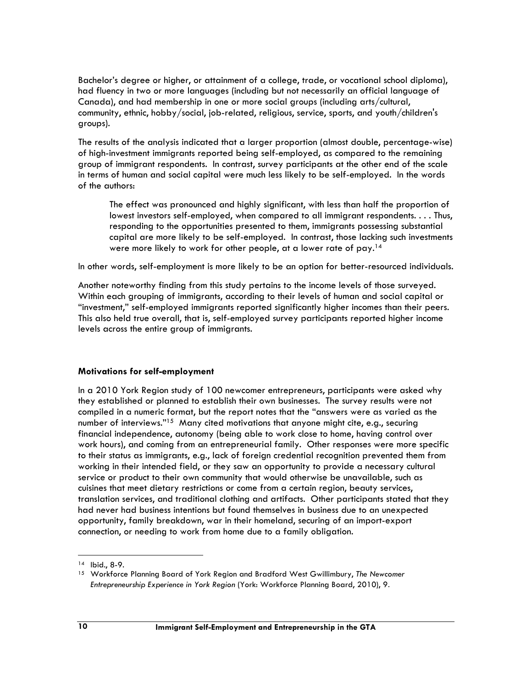Bachelor's degree or higher, or attainment of a college, trade, or vocational school diploma), had fluency in two or more languages (including but not necessarily an official language of Canada), and had membership in one or more social groups (including arts/cultural, community, ethnic, hobby/social, job-related, religious, service, sports, and youth/children's groups).

The results of the analysis indicated that a larger proportion (almost double, percentage-wise) of high-investment immigrants reported being self-employed, as compared to the remaining group of immigrant respondents. In contrast, survey participants at the other end of the scale in terms of human and social capital were much less likely to be self-employed. In the words of the authors:

The effect was pronounced and highly significant, with less than half the proportion of lowest investors self-employed, when compared to all immigrant respondents. . . . Thus, responding to the opportunities presented to them, immigrants possessing substantial capital are more likely to be self-employed. In contrast, those lacking such investments were more likely to work for other people, at a lower rate of pay.<sup>14</sup>

In other words, self-employment is more likely to be an option for better-resourced individuals.

Another noteworthy finding from this study pertains to the income levels of those surveyed. Within each grouping of immigrants, according to their levels of human and social capital or "investment," self-employed immigrants reported significantly higher incomes than their peers. This also held true overall, that is, self-employed survey participants reported higher income levels across the entire group of immigrants.

#### Motivations for self-employment

In a 2010 York Region study of 100 newcomer entrepreneurs, participants were asked why they established or planned to establish their own businesses. The survey results were not compiled in a numeric format, but the report notes that the "answers were as varied as the number of interviews."<sup>15</sup> Many cited motivations that anyone might cite, e.g., securing financial independence, autonomy (being able to work close to home, having control over work hours), and coming from an entrepreneurial family. Other responses were more specific to their status as immigrants, e.g., lack of foreign credential recognition prevented them from working in their intended field, or they saw an opportunity to provide a necessary cultural service or product to their own community that would otherwise be unavailable, such as cuisines that meet dietary restrictions or come from a certain region, beauty services, translation services, and traditional clothing and artifacts. Other participants stated that they had never had business intentions but found themselves in business due to an unexpected opportunity, family breakdown, war in their homeland, securing of an import-export connection, or needing to work from home due to a family obligation.

<sup>14</sup> Ibid., 8-9.

<sup>&</sup>lt;sup>15</sup> Workforce Planning Board of York Region and Bradford West Gwillimbury, The Newcomer Entrepreneurship Experience in York Region (York: Workforce Planning Board, 2010), 9.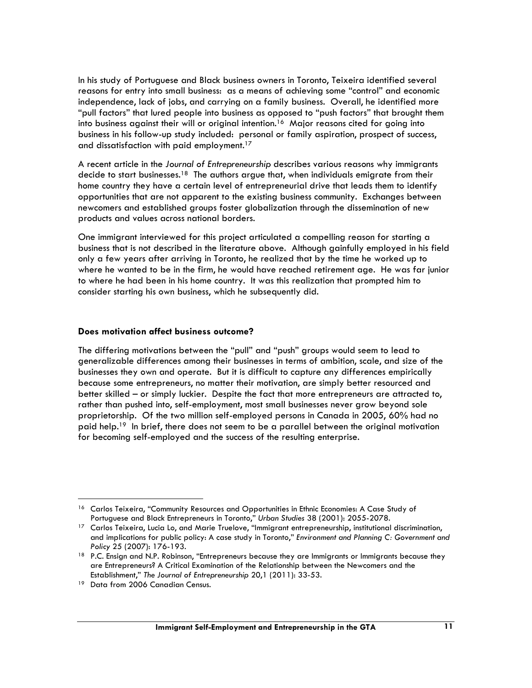In his study of Portuguese and Black business owners in Toronto, Teixeira identified several reasons for entry into small business: as a means of achieving some "control" and economic independence, lack of jobs, and carrying on a family business. Overall, he identified more "pull factors" that lured people into business as opposed to "push factors" that brought them into business against their will or original intention.<sup>16</sup> Major reasons cited for going into business in his follow-up study included: personal or family aspiration, prospect of success, and dissatisfaction with paid employment.<sup>17</sup>

A recent article in the Journal of Entrepreneurship describes various reasons why immigrants decide to start businesses.<sup>18</sup> The authors argue that, when individuals emigrate from their home country they have a certain level of entrepreneurial drive that leads them to identify opportunities that are not apparent to the existing business community. Exchanges between newcomers and established groups foster globalization through the dissemination of new products and values across national borders.

One immigrant interviewed for this project articulated a compelling reason for starting a business that is not described in the literature above. Although gainfully employed in his field only a few years after arriving in Toronto, he realized that by the time he worked up to where he wanted to be in the firm, he would have reached retirement age. He was far junior to where he had been in his home country. It was this realization that prompted him to consider starting his own business, which he subsequently did.

#### Does motivation affect business outcome?

The differing motivations between the "pull" and "push" groups would seem to lead to generalizable differences among their businesses in terms of ambition, scale, and size of the businesses they own and operate. But it is difficult to capture any differences empirically because some entrepreneurs, no matter their motivation, are simply better resourced and better skilled – or simply luckier. Despite the fact that more entrepreneurs are attracted to, rather than pushed into, self-employment, most small businesses never grow beyond sole proprietorship. Of the two million self-employed persons in Canada in 2005, 60% had no paid help.<sup>19</sup> In brief, there does not seem to be a parallel between the original motivation for becoming self-employed and the success of the resulting enterprise.

<sup>&</sup>lt;sup>16</sup> Carlos Teixeira, "Community Resources and Opportunities in Ethnic Economies: A Case Study of Portuguese and Black Entrepreneurs in Toronto," Urban Studies 38 (2001): 2055-2078.

<sup>&</sup>lt;sup>17</sup> Carlos Teixeira, Lucia Lo, and Marie Truelove, "Immigrant entrepreneurship, institutional discrimination, and implications for public policy: A case study in Toronto," Environment and Planning C: Government and Policy 25 (2007): 176-193.

<sup>18</sup> P.C. Ensign and N.P. Robinson, "Entrepreneurs because they are Immigrants or Immigrants because they are Entrepreneurs? A Critical Examination of the Relationship between the Newcomers and the Establishment," The Journal of Entrepreneurship 20,1 (2011): 33-53.

<sup>&</sup>lt;sup>19</sup> Data from 2006 Canadian Census.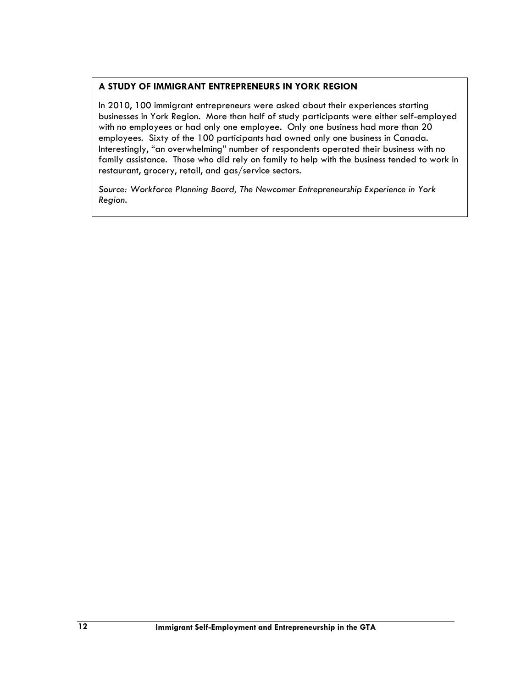## A STUDY OF IMMIGRANT ENTREPRENEURS IN YORK REGION

In 2010, 100 immigrant entrepreneurs were asked about their experiences starting businesses in York Region. More than half of study participants were either self-employed with no employees or had only one employee. Only one business had more than 20 employees. Sixty of the 100 participants had owned only one business in Canada. Interestingly, "an overwhelming" number of respondents operated their business with no family assistance. Those who did rely on family to help with the business tended to work in restaurant, grocery, retail, and gas/service sectors.

Source: Workforce Planning Board, The Newcomer Entrepreneurship Experience in York Region.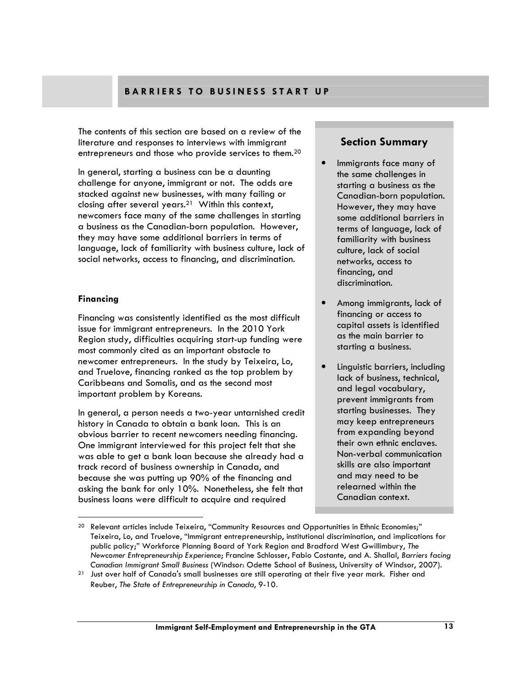## BARRIERS TO BUSINESS START UP

The contents of this section are based on a review of the literature and responses to interviews with immigrant entrepreneurs and those who provide services to them.<sup>20</sup>

In general, starting a business can be a daunting challenge for anyone, immigrant or not. The odds are stacked against new businesses, with many failing or closing after several years.21 Within this context, newcomers face many of the same challenges in starting a business as the Canadian-born population. However, they may have some additional barriers in terms of language, lack of familiarity with business culture, lack of social networks, access to financing, and discrimination.

#### Financing

 $\overline{a}$ 

Financing was consistently identified as the most difficult issue for immigrant entrepreneurs. In the 2010 York Region study, difficulties acquiring start-up funding were most commonly cited as an important obstacle to newcomer entrepreneurs. In the study by Teixeira, Lo, and Truelove, financing ranked as the top problem by Caribbeans and Somalis, and as the second most important problem by Koreans.

In general, a person needs a two-year untarnished credit history in Canada to obtain a bank loan. This is an obvious barrier to recent newcomers needing financing. One immigrant interviewed for this project felt that she was able to get a bank loan because she already had a track record of business ownership in Canada, and because she was putting up 90% of the financing and asking the bank for only 10%. Nonetheless, she felt that business loans were difficult to acquire and required

## Section Summary

- Immigrants face many of the same challenges in starting a business as the Canadian-born population. However, they may have some additional barriers in terms of language, lack of familiarity with business culture, lack of social networks, access to financing, and discrimination.
- Among immigrants, lack of financing or access to capital assets is identified as the main barrier to starting a business.
- Linguistic barriers, including lack of business, technical, and legal vocabulary, prevent immigrants from starting businesses. They may keep entrepreneurs from expanding beyond their own ethnic enclaves. Non-verbal communication skills are also important and may need to be relearned within the Canadian context.

 $20$  Relevant articles include Teixeira, "Community Resources and Opportunities in Ethnic Economies;" Teixeira, Lo, and Truelove, "Immigrant entrepreneurship, institutional discrimination, and implications for public policy;" Workforce Planning Board of York Region and Bradford West Gwillimbury, The Newcomer Entrepreneurship Experience; Francine Schlosser, Fabio Costante, and A. Shallal, Barriers facing Canadian Immigrant Small Business (Windsor: Odette School of Business, University of Windsor, 2007).

<sup>21</sup> Just over half of Canada's small businesses are still operating at their five year mark. Fisher and Reuber, The State of Entrepreneurship in Canada, 9-10.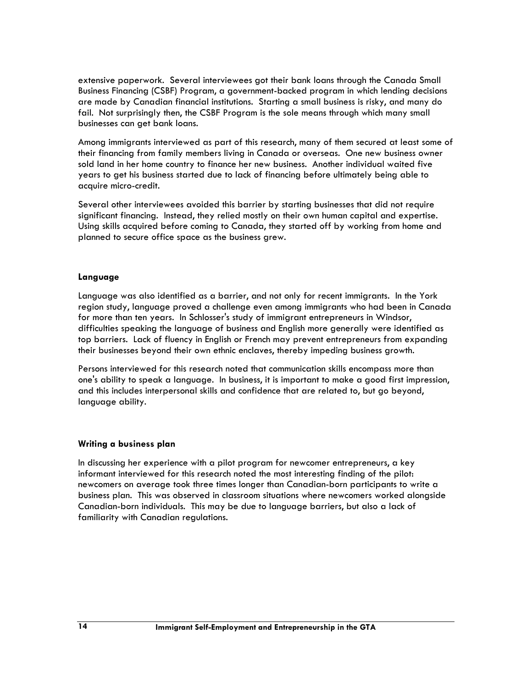extensive paperwork. Several interviewees got their bank loans through the Canada Small Business Financing (CSBF) Program, a government-backed program in which lending decisions are made by Canadian financial institutions. Starting a small business is risky, and many do fail. Not surprisingly then, the CSBF Program is the sole means through which many small businesses can get bank loans.

Among immigrants interviewed as part of this research, many of them secured at least some of their financing from family members living in Canada or overseas. One new business owner sold land in her home country to finance her new business. Another individual waited five years to get his business started due to lack of financing before ultimately being able to acquire micro-credit.

Several other interviewees avoided this barrier by starting businesses that did not require significant financing. Instead, they relied mostly on their own human capital and expertise. Using skills acquired before coming to Canada, they started off by working from home and planned to secure office space as the business grew.

#### Language

Language was also identified as a barrier, and not only for recent immigrants. In the York region study, language proved a challenge even among immigrants who had been in Canada for more than ten years. In Schlosser's study of immigrant entrepreneurs in Windsor, difficulties speaking the language of business and English more generally were identified as top barriers. Lack of fluency in English or French may prevent entrepreneurs from expanding their businesses beyond their own ethnic enclaves, thereby impeding business growth.

Persons interviewed for this research noted that communication skills encompass more than one's ability to speak a language. In business, it is important to make a good first impression, and this includes interpersonal skills and confidence that are related to, but go beyond, language ability.

#### Writing a business plan

In discussing her experience with a pilot program for newcomer entrepreneurs, a key informant interviewed for this research noted the most interesting finding of the pilot: newcomers on average took three times longer than Canadian-born participants to write a business plan. This was observed in classroom situations where newcomers worked alongside Canadian-born individuals. This may be due to language barriers, but also a lack of familiarity with Canadian regulations.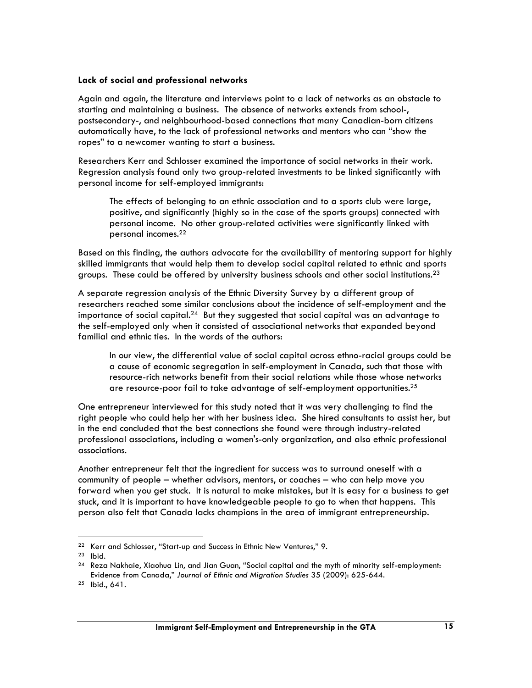#### Lack of social and professional networks

Again and again, the literature and interviews point to a lack of networks as an obstacle to starting and maintaining a business. The absence of networks extends from school-, postsecondary-, and neighbourhood-based connections that many Canadian-born citizens automatically have, to the lack of professional networks and mentors who can "show the ropes" to a newcomer wanting to start a business.

Researchers Kerr and Schlosser examined the importance of social networks in their work. Regression analysis found only two group-related investments to be linked significantly with personal income for self-employed immigrants:

The effects of belonging to an ethnic association and to a sports club were large, positive, and significantly (highly so in the case of the sports groups) connected with personal income. No other group-related activities were significantly linked with personal incomes.<sup>22</sup>

Based on this finding, the authors advocate for the availability of mentoring support for highly skilled immigrants that would help them to develop social capital related to ethnic and sports groups. These could be offered by university business schools and other social institutions.<sup>23</sup>

A separate regression analysis of the Ethnic Diversity Survey by a different group of researchers reached some similar conclusions about the incidence of self-employment and the importance of social capital.<sup>24</sup> But they suggested that social capital was an advantage to the self-employed only when it consisted of associational networks that expanded beyond familial and ethnic ties. In the words of the authors:

In our view, the differential value of social capital across ethno-racial groups could be a cause of economic segregation in self-employment in Canada, such that those with resource-rich networks benefit from their social relations while those whose networks are resource-poor fail to take advantage of self-employment opportunities.<sup>25</sup>

One entrepreneur interviewed for this study noted that it was very challenging to find the right people who could help her with her business idea. She hired consultants to assist her, but in the end concluded that the best connections she found were through industry-related professional associations, including a women's-only organization, and also ethnic professional associations.

Another entrepreneur felt that the ingredient for success was to surround oneself with a community of people – whether advisors, mentors, or coaches – who can help move you forward when you get stuck. It is natural to make mistakes, but it is easy for a business to get stuck, and it is important to have knowledgeable people to go to when that happens. This person also felt that Canada lacks champions in the area of immigrant entrepreneurship.

<sup>22</sup> Kerr and Schlosser, "Start-up and Success in Ethnic New Ventures," 9.

<sup>23</sup> Ibid.

 $24$  Reza Nakhaie, Xiaohua Lin, and Jian Guan, "Social capital and the myth of minority self-employment: Evidence from Canada," Journal of Ethnic and Migration Studies 35 (2009): 625-644.

<sup>25</sup> Ibid., 641.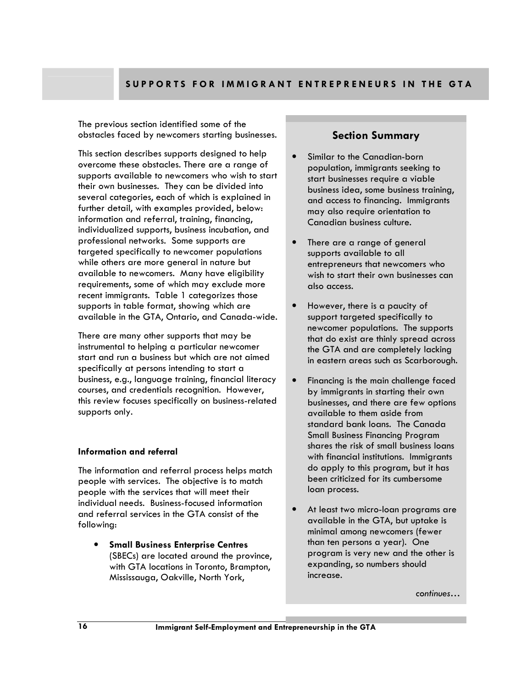The previous section identified some of the obstacles faced by newcomers starting businesses.

This section describes supports designed to help overcome these obstacles. There are a range of supports available to newcomers who wish to start their own businesses. They can be divided into several categories, each of which is explained in further detail, with examples provided, below: information and referral, training, financing, individualized supports, business incubation, and professional networks. Some supports are targeted specifically to newcomer populations while others are more general in nature but available to newcomers. Many have eligibility requirements, some of which may exclude more recent immigrants. Table 1 categorizes those supports in table format, showing which are available in the GTA, Ontario, and Canada-wide.

There are many other supports that may be instrumental to helping a particular newcomer start and run a business but which are not aimed specifically at persons intending to start a business, e.g., language training, financial literacy courses, and credentials recognition. However, this review focuses specifically on business-related supports only.

#### Information and referral

The information and referral process helps match people with services. The objective is to match people with the services that will meet their individual needs. Business-focused information and referral services in the GTA consist of the following:

• Small Business Enterprise Centres (SBECs) are located around the province, with GTA locations in Toronto, Brampton, Mississauga, Oakville, North York,

## Section Summary

- Similar to the Canadian-born population, immigrants seeking to start businesses require a viable business idea, some business training, and access to financing. Immigrants may also require orientation to Canadian business culture.
- There are a range of general supports available to all entrepreneurs that newcomers who wish to start their own businesses can also access.
- However, there is a paucity of support targeted specifically to newcomer populations. The supports that do exist are thinly spread across the GTA and are completely lacking in eastern areas such as Scarborough.
- Financing is the main challenge faced by immigrants in starting their own businesses, and there are few options available to them aside from standard bank loans. The Canada Small Business Financing Program shares the risk of small business loans with financial institutions. Immigrants do apply to this program, but it has been criticized for its cumbersome loan process.
- At least two micro-loan programs are available in the GTA, but uptake is minimal among newcomers (fewer than ten persons a year). One program is very new and the other is expanding, so numbers should increase.

continues…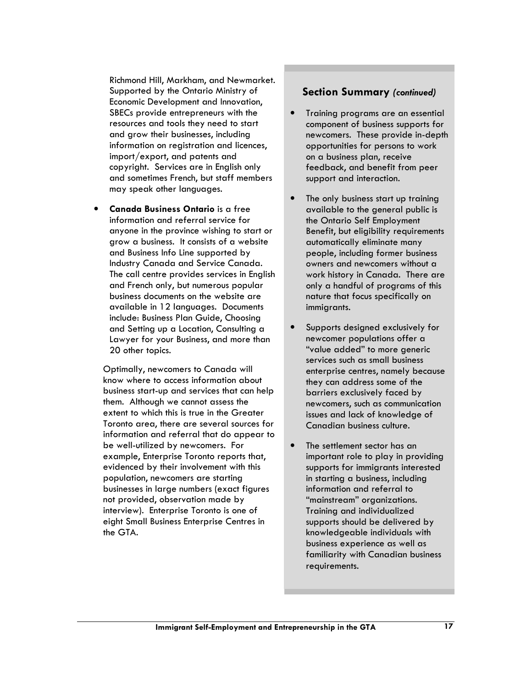Richmond Hill, Markham, and Newmarket. Supported by the Ontario Ministry of Economic Development and Innovation, SBECs provide entrepreneurs with the resources and tools they need to start and grow their businesses, including information on registration and licences, import/export, and patents and copyright. Services are in English only and sometimes French, but staff members may speak other languages.

• Canada Business Ontario is a free information and referral service for anyone in the province wishing to start or grow a business. It consists of a website and Business Info Line supported by Industry Canada and Service Canada. The call centre provides services in English and French only, but numerous popular business documents on the website are available in 12 languages. Documents include: Business Plan Guide, Choosing and Setting up a Location, Consulting a Lawyer for your Business, and more than 20 other topics.

Optimally, newcomers to Canada will know where to access information about business start-up and services that can help them. Although we cannot assess the extent to which this is true in the Greater Toronto area, there are several sources for information and referral that do appear to be well-utilized by newcomers. For example, Enterprise Toronto reports that, evidenced by their involvement with this population, newcomers are starting businesses in large numbers (exact figures not provided, observation made by interview). Enterprise Toronto is one of eight Small Business Enterprise Centres in the GTA.

### Section Summary (continued)

- Training programs are an essential component of business supports for newcomers. These provide in-depth opportunities for persons to work on a business plan, receive feedback, and benefit from peer support and interaction.
- The only business start up training available to the general public is the Ontario Self Employment Benefit, but eligibility requirements automatically eliminate many people, including former business owners and newcomers without a work history in Canada. There are only a handful of programs of this nature that focus specifically on immigrants.
- Supports designed exclusively for newcomer populations offer a "value added" to more generic services such as small business enterprise centres, namely because they can address some of the barriers exclusively faced by newcomers, such as communication issues and lack of knowledge of Canadian business culture.
- The settlement sector has an important role to play in providing supports for immigrants interested in starting a business, including information and referral to "mainstream" organizations. Training and individualized supports should be delivered by knowledgeable individuals with business experience as well as familiarity with Canadian business requirements.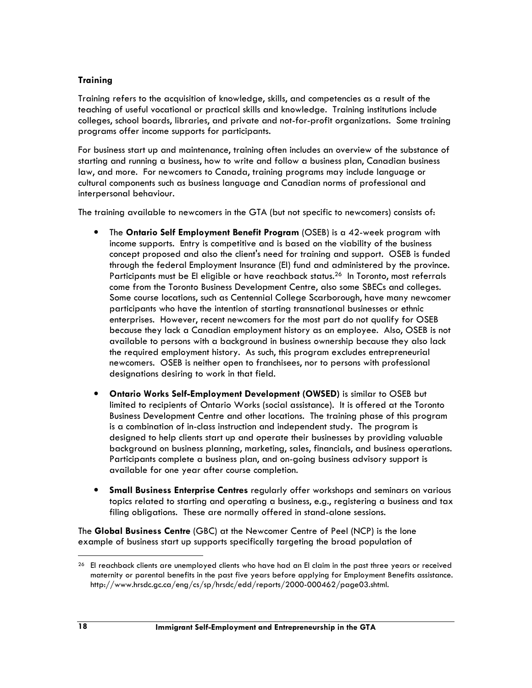## **Training**

Training refers to the acquisition of knowledge, skills, and competencies as a result of the teaching of useful vocational or practical skills and knowledge. Training institutions include colleges, school boards, libraries, and private and not-for-profit organizations. Some training programs offer income supports for participants.

For business start up and maintenance, training often includes an overview of the substance of starting and running a business, how to write and follow a business plan, Canadian business law, and more. For newcomers to Canada, training programs may include language or cultural components such as business language and Canadian norms of professional and interpersonal behaviour.

The training available to newcomers in the GTA (but not specific to newcomers) consists of:

- The Ontario Self Employment Benefit Program (OSEB) is a 42-week program with income supports. Entry is competitive and is based on the viability of the business concept proposed and also the client's need for training and support. OSEB is funded through the federal Employment Insurance (EI) fund and administered by the province. Participants must be EI eligible or have reachback status.<sup>26</sup> In Toronto, most referrals come from the Toronto Business Development Centre, also some SBECs and colleges. Some course locations, such as Centennial College Scarborough, have many newcomer participants who have the intention of starting transnational businesses or ethnic enterprises. However, recent newcomers for the most part do not qualify for OSEB because they lack a Canadian employment history as an employee. Also, OSEB is not available to persons with a background in business ownership because they also lack the required employment history. As such, this program excludes entrepreneurial newcomers. OSEB is neither open to franchisees, nor to persons with professional designations desiring to work in that field.
- Ontario Works Self-Employment Development (OWSED) is similar to OSEB but limited to recipients of Ontario Works (social assistance). It is offered at the Toronto Business Development Centre and other locations. The training phase of this program is a combination of in-class instruction and independent study. The program is designed to help clients start up and operate their businesses by providing valuable background on business planning, marketing, sales, financials, and business operations. Participants complete a business plan, and on-going business advisory support is available for one year after course completion.
- Small Business Enterprise Centres regularly offer workshops and seminars on various topics related to starting and operating a business, e.g., registering a business and tax filing obligations. These are normally offered in stand-alone sessions.

The Global Business Centre (GBC) at the Newcomer Centre of Peel (NCP) is the lone example of business start up supports specifically targeting the broad population of

<sup>&</sup>lt;sup>26</sup> El reachback clients are unemployed clients who have had an El claim in the past three years or received maternity or parental benefits in the past five years before applying for Employment Benefits assistance. http://www.hrsdc.gc.ca/eng/cs/sp/hrsdc/edd/reports/2000-000462/page03.shtml.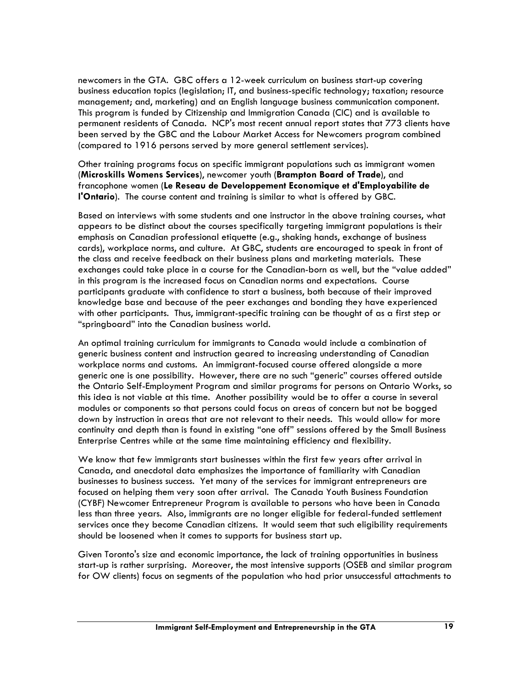newcomers in the GTA. GBC offers a 12-week curriculum on business start-up covering business education topics (legislation; IT, and business-specific technology; taxation; resource management; and, marketing) and an English language business communication component. This program is funded by Citizenship and Immigration Canada (CIC) and is available to permanent residents of Canada. NCP's most recent annual report states that 773 clients have been served by the GBC and the Labour Market Access for Newcomers program combined (compared to 1916 persons served by more general settlement services).

Other training programs focus on specific immigrant populations such as immigrant women (Microskills Womens Services), newcomer youth (Brampton Board of Trade), and francophone women (Le Reseau de Developpement Economique et d'Employabilite de l'Ontario). The course content and training is similar to what is offered by GBC.

Based on interviews with some students and one instructor in the above training courses, what appears to be distinct about the courses specifically targeting immigrant populations is their emphasis on Canadian professional etiquette (e.g., shaking hands, exchange of business cards), workplace norms, and culture. At GBC, students are encouraged to speak in front of the class and receive feedback on their business plans and marketing materials. These exchanges could take place in a course for the Canadian-born as well, but the "value added" in this program is the increased focus on Canadian norms and expectations. Course participants graduate with confidence to start a business, both because of their improved knowledge base and because of the peer exchanges and bonding they have experienced with other participants. Thus, immigrant-specific training can be thought of as a first step or "springboard" into the Canadian business world.

An optimal training curriculum for immigrants to Canada would include a combination of generic business content and instruction geared to increasing understanding of Canadian workplace norms and customs. An immigrant-focused course offered alongside a more generic one is one possibility. However, there are no such "generic" courses offered outside the Ontario Self-Employment Program and similar programs for persons on Ontario Works, so this idea is not viable at this time. Another possibility would be to offer a course in several modules or components so that persons could focus on areas of concern but not be bogged down by instruction in areas that are not relevant to their needs. This would allow for more continuity and depth than is found in existing "one off" sessions offered by the Small Business Enterprise Centres while at the same time maintaining efficiency and flexibility.

We know that few immigrants start businesses within the first few years after arrival in Canada, and anecdotal data emphasizes the importance of familiarity with Canadian businesses to business success. Yet many of the services for immigrant entrepreneurs are focused on helping them very soon after arrival. The Canada Youth Business Foundation (CYBF) Newcomer Entrepreneur Program is available to persons who have been in Canada less than three years. Also, immigrants are no longer eligible for federal-funded settlement services once they become Canadian citizens. It would seem that such eligibility requirements should be loosened when it comes to supports for business start up.

Given Toronto's size and economic importance, the lack of training opportunities in business start-up is rather surprising. Moreover, the most intensive supports (OSEB and similar program for OW clients) focus on segments of the population who had prior unsuccessful attachments to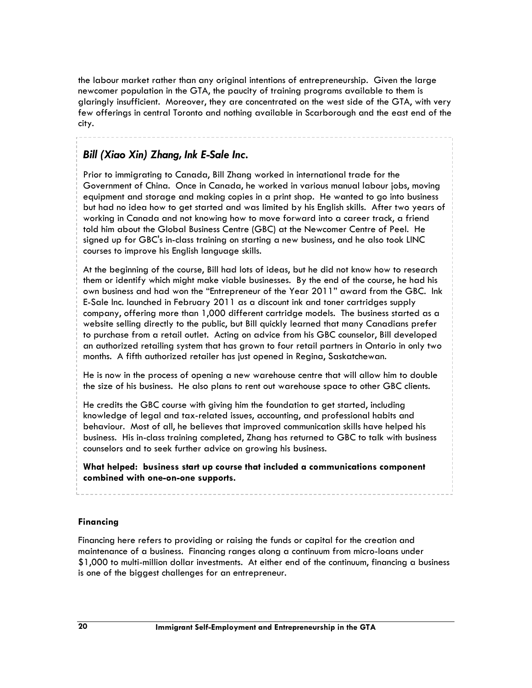the labour market rather than any original intentions of entrepreneurship. Given the large newcomer population in the GTA, the paucity of training programs available to them is glaringly insufficient. Moreover, they are concentrated on the west side of the GTA, with very few offerings in central Toronto and nothing available in Scarborough and the east end of the city.

## Bill (Xiao Xin) Zhang, Ink E-Sale Inc.

Prior to immigrating to Canada, Bill Zhang worked in international trade for the Government of China. Once in Canada, he worked in various manual labour jobs, moving equipment and storage and making copies in a print shop. He wanted to go into business but had no idea how to get started and was limited by his English skills. After two years of working in Canada and not knowing how to move forward into a career track, a friend told him about the Global Business Centre (GBC) at the Newcomer Centre of Peel. He signed up for GBC's in-class training on starting a new business, and he also took LINC courses to improve his English language skills.

At the beginning of the course, Bill had lots of ideas, but he did not know how to research them or identify which might make viable businesses. By the end of the course, he had his own business and had won the "Entrepreneur of the Year 2011" award from the GBC. Ink E-Sale Inc. launched in February 2011 as a discount ink and toner cartridges supply company, offering more than 1,000 different cartridge models. The business started as a website selling directly to the public, but Bill quickly learned that many Canadians prefer to purchase from a retail outlet. Acting on advice from his GBC counselor, Bill developed an authorized retailing system that has grown to four retail partners in Ontario in only two months. A fifth authorized retailer has just opened in Regina, Saskatchewan.

He is now in the process of opening a new warehouse centre that will allow him to double the size of his business. He also plans to rent out warehouse space to other GBC clients.

He credits the GBC course with giving him the foundation to get started, including knowledge of legal and tax-related issues, accounting, and professional habits and behaviour. Most of all, he believes that improved communication skills have helped his business. His in-class training completed, Zhang has returned to GBC to talk with business counselors and to seek further advice on growing his business.

What helped: business start up course that included a communications component combined with one-on-one supports.

#### Financing

Financing here refers to providing or raising the funds or capital for the creation and maintenance of a business. Financing ranges along a continuum from micro-loans under \$1,000 to multi-million dollar investments. At either end of the continuum, financing a business is one of the biggest challenges for an entrepreneur.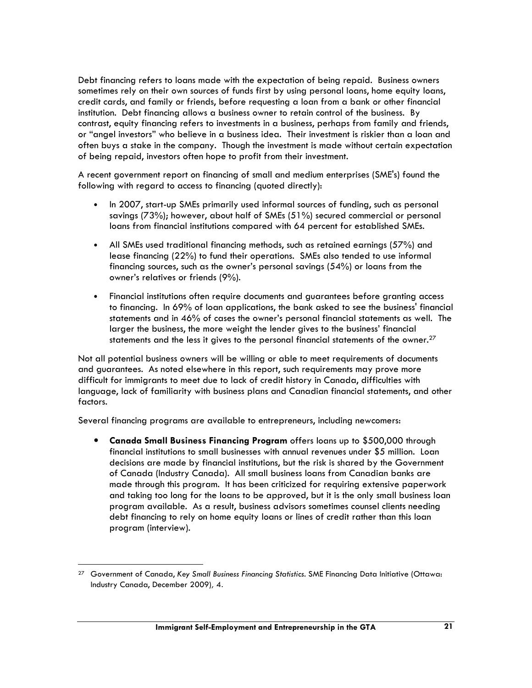Debt financing refers to loans made with the expectation of being repaid. Business owners sometimes rely on their own sources of funds first by using personal loans, home equity loans, credit cards, and family or friends, before requesting a loan from a bank or other financial institution. Debt financing allows a business owner to retain control of the business. By contrast, equity financing refers to investments in a business, perhaps from family and friends, or "angel investors" who believe in a business idea. Their investment is riskier than a loan and often buys a stake in the company. Though the investment is made without certain expectation of being repaid, investors often hope to profit from their investment.

A recent government report on financing of small and medium enterprises (SME's) found the following with regard to access to financing (quoted directly):

- In 2007, start-up SMEs primarily used informal sources of funding, such as personal savings (73%); however, about half of SMEs (51%) secured commercial or personal loans from financial institutions compared with 64 percent for established SMEs.
- All SMEs used traditional financing methods, such as retained earnings (57%) and lease financing (22%) to fund their operations. SMEs also tended to use informal financing sources, such as the owner's personal savings (54%) or loans from the owner's relatives or friends (9%).
- Financial institutions often require documents and guarantees before granting access to financing. In 69% of loan applications, the bank asked to see the business' financial statements and in 46% of cases the owner's personal financial statements as well. The larger the business, the more weight the lender gives to the business' financial statements and the less it gives to the personal financial statements of the owner.<sup>27</sup>

Not all potential business owners will be willing or able to meet requirements of documents and guarantees. As noted elsewhere in this report, such requirements may prove more difficult for immigrants to meet due to lack of credit history in Canada, difficulties with language, lack of familiarity with business plans and Canadian financial statements, and other factors.

Several financing programs are available to entrepreneurs, including newcomers:

• Canada Small Business Financing Program offers loans up to \$500,000 through financial institutions to small businesses with annual revenues under \$5 million. Loan decisions are made by financial institutions, but the risk is shared by the Government of Canada (Industry Canada). All small business loans from Canadian banks are made through this program. It has been criticized for requiring extensive paperwork and taking too long for the loans to be approved, but it is the only small business loan program available. As a result, business advisors sometimes counsel clients needing debt financing to rely on home equity loans or lines of credit rather than this loan program (interview).

<sup>&</sup>lt;sup>27</sup> Government of Canada, Key Small Business Financing Statistics. SME Financing Data Initiative (Ottawa: Industry Canada, December 2009), 4.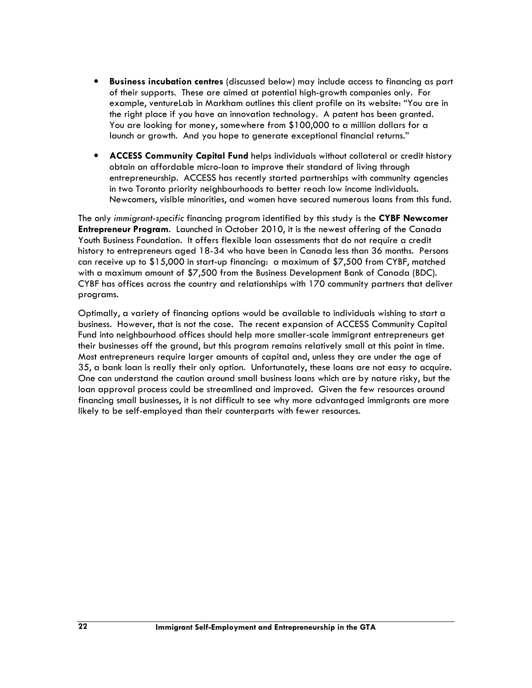- Business incubation centres (discussed below) may include access to financing as part of their supports. These are aimed at potential high-growth companies only. For example, ventureLab in Markham outlines this client profile on its website: "You are in the right place if you have an innovation technology. A patent has been granted. You are looking for money, somewhere from \$100,000 to a million dollars for a launch or growth. And you hope to generate exceptional financial returns."
- **ACCESS Community Capital Fund helps individuals without collateral or credit history** obtain an affordable micro-loan to improve their standard of living through entrepreneurship. ACCESS has recently started partnerships with community agencies in two Toronto priority neighbourhoods to better reach low income individuals. Newcomers, visible minorities, and women have secured numerous loans from this fund.

The only immigrant-specific financing program identified by this study is the CYBF Newcomer Entrepreneur Program. Launched in October 2010, it is the newest offering of the Canada Youth Business Foundation. It offers flexible loan assessments that do not require a credit history to entrepreneurs aged 18-34 who have been in Canada less than 36 months. Persons can receive up to \$15,000 in start-up financing: a maximum of \$7,500 from CYBF, matched with a maximum amount of \$7,500 from the Business Development Bank of Canada (BDC). CYBF has offices across the country and relationships with 170 community partners that deliver programs.

Optimally, a variety of financing options would be available to individuals wishing to start a business. However, that is not the case. The recent expansion of ACCESS Community Capital Fund into neighbourhood offices should help more smaller-scale immigrant entrepreneurs get their businesses off the ground, but this program remains relatively small at this point in time. Most entrepreneurs require larger amounts of capital and, unless they are under the age of 35, a bank loan is really their only option. Unfortunately, these loans are not easy to acquire. One can understand the caution around small business loans which are by nature risky, but the loan approval process could be streamlined and improved. Given the few resources around financing small businesses, it is not difficult to see why more advantaged immigrants are more likely to be self-employed than their counterparts with fewer resources.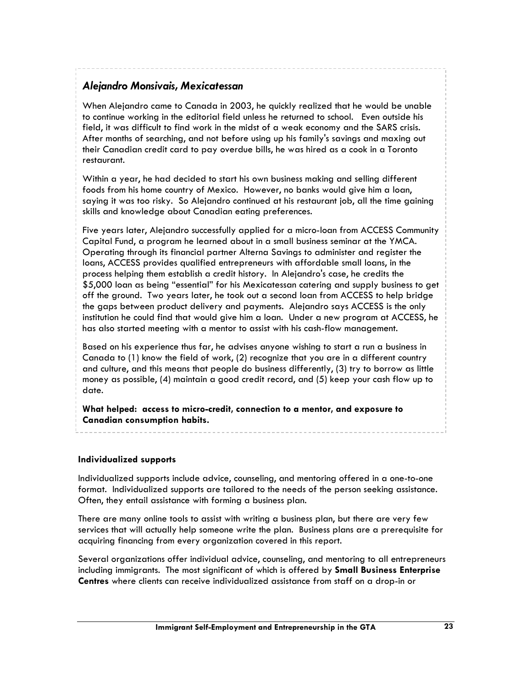## Alejandro Monsivais, Mexicatessan

When Alejandro came to Canada in 2003, he quickly realized that he would be unable to continue working in the editorial field unless he returned to school. Even outside his field, it was difficult to find work in the midst of a weak economy and the SARS crisis. After months of searching, and not before using up his family's savings and maxing out their Canadian credit card to pay overdue bills, he was hired as a cook in a Toronto restaurant.

Within a year, he had decided to start his own business making and selling different foods from his home country of Mexico. However, no banks would give him a loan, saying it was too risky. So Alejandro continued at his restaurant job, all the time gaining skills and knowledge about Canadian eating preferences.

Five years later, Alejandro successfully applied for a micro-loan from ACCESS Community Capital Fund, a program he learned about in a small business seminar at the YMCA. Operating through its financial partner Alterna Savings to administer and register the loans, ACCESS provides qualified entrepreneurs with affordable small loans, in the process helping them establish a credit history. In Alejandro's case, he credits the \$5,000 loan as being "essential" for his Mexicatessan catering and supply business to get off the ground. Two years later, he took out a second loan from ACCESS to help bridge the gaps between product delivery and payments. Alejandro says ACCESS is the only institution he could find that would give him a loan. Under a new program at ACCESS, he has also started meeting with a mentor to assist with his cash-flow management.

Based on his experience thus far, he advises anyone wishing to start a run a business in Canada to (1) know the field of work, (2) recognize that you are in a different country and culture, and this means that people do business differently, (3) try to borrow as little money as possible, (4) maintain a good credit record, and (5) keep your cash flow up to date.

What helped: access to micro-credit, connection to a mentor, and exposure to Canadian consumption habits.

#### Individualized supports

Individualized supports include advice, counseling, and mentoring offered in a one-to-one format. Individualized supports are tailored to the needs of the person seeking assistance. Often, they entail assistance with forming a business plan.

There are many online tools to assist with writing a business plan, but there are very few services that will actually help someone write the plan. Business plans are a prerequisite for acquiring financing from every organization covered in this report.

Several organizations offer individual advice, counseling, and mentoring to all entrepreneurs including immigrants. The most significant of which is offered by **Small Business Enterprise** Centres where clients can receive individualized assistance from staff on a drop-in or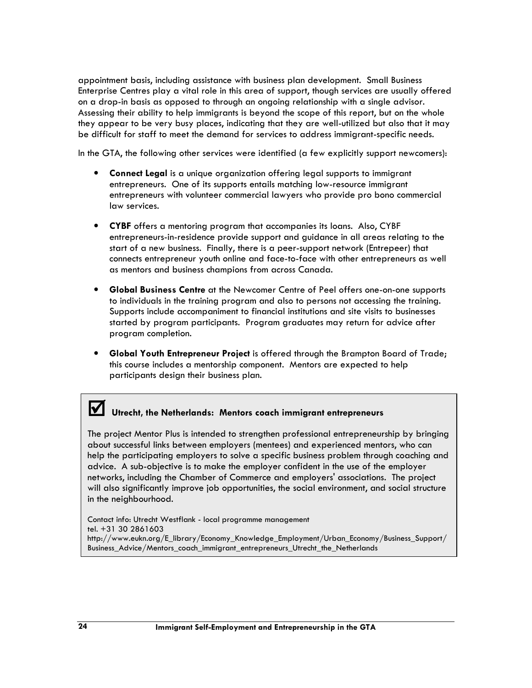appointment basis, including assistance with business plan development. Small Business Enterprise Centres play a vital role in this area of support, though services are usually offered on a drop-in basis as opposed to through an ongoing relationship with a single advisor. Assessing their ability to help immigrants is beyond the scope of this report, but on the whole they appear to be very busy places, indicating that they are well-utilized but also that it may be difficult for staff to meet the demand for services to address immigrant-specific needs.

In the GTA, the following other services were identified (a few explicitly support newcomers):

- Connect Legal is a unique organization offering legal supports to immigrant entrepreneurs. One of its supports entails matching low-resource immigrant entrepreneurs with volunteer commercial lawyers who provide pro bono commercial law services.
- CYBF offers a mentoring program that accompanies its loans. Also, CYBF entrepreneurs-in-residence provide support and guidance in all areas relating to the start of a new business. Finally, there is a peer-support network (Entrepeer) that connects entrepreneur youth online and face-to-face with other entrepreneurs as well as mentors and business champions from across Canada.
- Global Business Centre at the Newcomer Centre of Peel offers one-on-one supports to individuals in the training program and also to persons not accessing the training. Supports include accompaniment to financial institutions and site visits to businesses started by program participants. Program graduates may return for advice after program completion.
- Global Youth Entrepreneur Project is offered through the Brampton Board of Trade; this course includes a mentorship component. Mentors are expected to help participants design their business plan.

# V Utrecht, the Netherlands: Mentors coach immigrant entrepreneurs

The project Mentor Plus is intended to strengthen professional entrepreneurship by bringing about successful links between employers (mentees) and experienced mentors, who can help the participating employers to solve a specific business problem through coaching and advice. A sub-objective is to make the employer confident in the use of the employer networks, including the Chamber of Commerce and employers' associations. The project will also significantly improve job opportunities, the social environment, and social structure in the neighbourhood.

Contact info: Utrecht Westflank - local programme management tel. +31 30 2861603 http://www.eukn.org/E\_library/Economy\_Knowledge\_Employment/Urban\_Economy/Business\_Support/ Business Advice/Mentors coach\_immigrant\_entrepreneurs\_Utrecht\_the\_Netherlands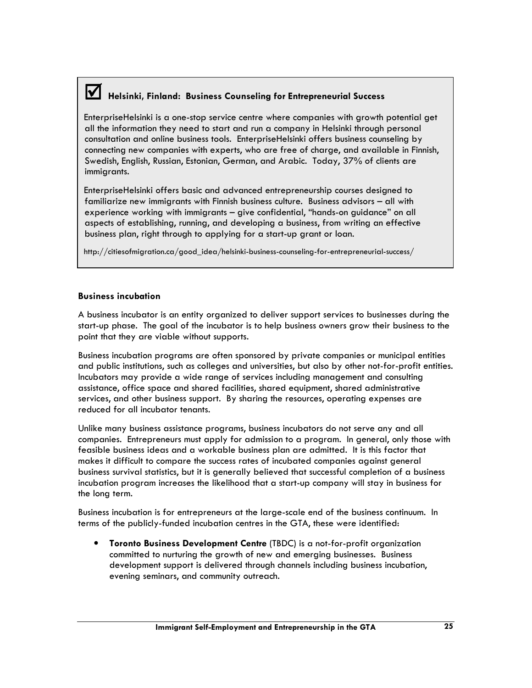# Helsinki, Finland: Business Counseling for Entrepreneurial Success

EnterpriseHelsinki is a one-stop service centre where companies with growth potential get all the information they need to start and run a company in Helsinki through personal consultation and online business tools. EnterpriseHelsinki offers business counseling by connecting new companies with experts, who are free of charge, and available in Finnish, Swedish, English, Russian, Estonian, German, and Arabic. Today, 37% of clients are immigrants.

EnterpriseHelsinki offers basic and advanced entrepreneurship courses designed to familiarize new immigrants with Finnish business culture. Business advisors – all with experience working with immigrants – give confidential, "hands-on guidance" on all aspects of establishing, running, and developing a business, from writing an effective business plan, right through to applying for a start-up grant or loan.

http://citiesofmigration.ca/good\_idea/helsinki-business-counseling-for-entrepreneurial-success/

#### Business incubation

A business incubator is an entity organized to deliver support services to businesses during the start-up phase. The goal of the incubator is to help business owners grow their business to the point that they are viable without supports.

Business incubation programs are often sponsored by private companies or municipal entities and public institutions, such as colleges and universities, but also by other not-for-profit entities. Incubators may provide a wide range of services including management and consulting assistance, office space and shared facilities, shared equipment, shared administrative services, and other business support. By sharing the resources, operating expenses are reduced for all incubator tenants.

Unlike many business assistance programs, business incubators do not serve any and all companies. Entrepreneurs must apply for admission to a program. In general, only those with feasible business ideas and a workable business plan are admitted. It is this factor that makes it difficult to compare the success rates of incubated companies against general business survival statistics, but it is generally believed that successful completion of a business incubation program increases the likelihood that a start-up company will stay in business for the long term.

Business incubation is for entrepreneurs at the large-scale end of the business continuum. In terms of the publicly-funded incubation centres in the GTA, these were identified:

• Toronto Business Development Centre (TBDC) is a not-for-profit organization committed to nurturing the growth of new and emerging businesses. Business development support is delivered through channels including business incubation, evening seminars, and community outreach.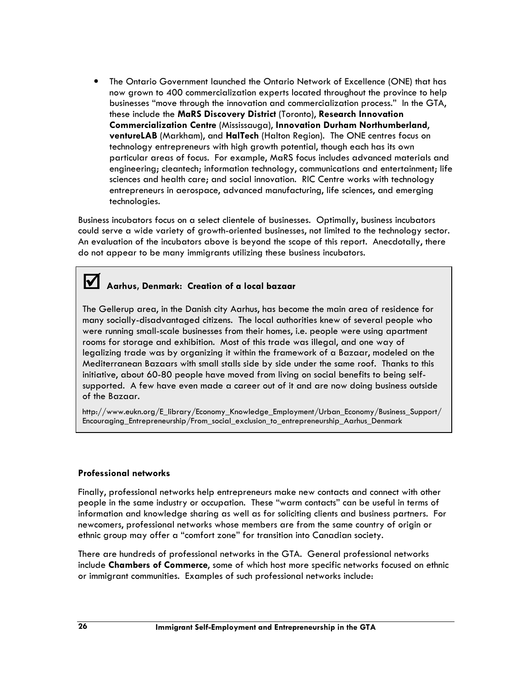• The Ontario Government launched the Ontario Network of Excellence (ONE) that has now grown to 400 commercialization experts located throughout the province to help businesses "move through the innovation and commercialization process." In the GTA, these include the MaRS Discovery District (Toronto), Research Innovation Commercialization Centre (Mississauga), Innovation Durham Northumberland, ventureLAB (Markham), and HalTech (Halton Region). The ONE centres focus on technology entrepreneurs with high growth potential, though each has its own particular areas of focus. For example, MaRS focus includes advanced materials and engineering; cleantech; information technology, communications and entertainment; life sciences and health care; and social innovation. RIC Centre works with technology entrepreneurs in aerospace, advanced manufacturing, life sciences, and emerging technologies.

Business incubators focus on a select clientele of businesses. Optimally, business incubators could serve a wide variety of growth-oriented businesses, not limited to the technology sector. An evaluation of the incubators above is beyond the scope of this report. Anecdotally, there do not appear to be many immigrants utilizing these business incubators.

## Aarhus, Denmark: Creation of a local bazaar

The Gellerup area, in the Danish city Aarhus, has become the main area of residence for many socially-disadvantaged citizens. The local authorities knew of several people who were running small-scale businesses from their homes, i.e. people were using apartment rooms for storage and exhibition. Most of this trade was illegal, and one way of legalizing trade was by organizing it within the framework of a Bazaar, modeled on the Mediterranean Bazaars with small stalls side by side under the same roof. Thanks to this initiative, about 60-80 people have moved from living on social benefits to being selfsupported. A few have even made a career out of it and are now doing business outside of the Bazaar.

http://www.eukn.org/E\_library/Economy\_Knowledge\_Employment/Urban\_Economy/Business\_Support/ Encouraging\_Entrepreneurship/From\_social\_exclusion\_to\_entrepreneurship\_Aarhus\_Denmark

#### Professional networks

Finally, professional networks help entrepreneurs make new contacts and connect with other people in the same industry or occupation. These "warm contacts" can be useful in terms of information and knowledge sharing as well as for soliciting clients and business partners. For newcomers, professional networks whose members are from the same country of origin or ethnic group may offer a "comfort zone" for transition into Canadian society.

There are hundreds of professional networks in the GTA. General professional networks include Chambers of Commerce, some of which host more specific networks focused on ethnic or immigrant communities. Examples of such professional networks include: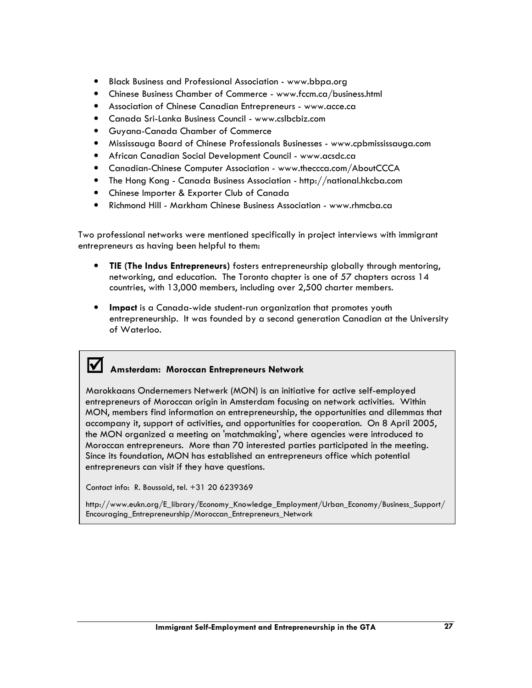- Black Business and Professional Association www.bbpa.org
- Chinese Business Chamber of Commerce www.fccm.ca/business.html
- Association of Chinese Canadian Entrepreneurs www.acce.ca
- Canada Sri-Lanka Business Council www.cslbcbiz.com
- Guyana-Canada Chamber of Commerce
- Mississauga Board of Chinese Professionals Businesses www.cpbmississauga.com
- African Canadian Social Development Council www.acsdc.ca
- Canadian-Chinese Computer Association www.theccca.com/AboutCCCA
- The Hong Kong Canada Business Association http://national.hkcba.com
- Chinese Importer & Exporter Club of Canada
- Richmond Hill Markham Chinese Business Association www.rhmcba.ca

Two professional networks were mentioned specifically in project interviews with immigrant entrepreneurs as having been helpful to them:

- TIE (The Indus Entrepreneurs) fosters entrepreneurship globally through mentoring, networking, and education. The Toronto chapter is one of 57 chapters across 14 countries, with 13,000 members, including over 2,500 charter members.
- Impact is a Canada-wide student-run organization that promotes youth entrepreneurship. It was founded by a second generation Canadian at the University of Waterloo.

# Amsterdam: Moroccan Entrepreneurs Network

Marokkaans Ondernemers Netwerk (MON) is an initiative for active self-employed entrepreneurs of Moroccan origin in Amsterdam focusing on network activities. Within MON, members find information on entrepreneurship, the opportunities and dilemmas that accompany it, support of activities, and opportunities for cooperation. On 8 April 2005, the MON organized a meeting on 'matchmaking', where agencies were introduced to Moroccan entrepreneurs. More than 70 interested parties participated in the meeting. Since its foundation, MON has established an entrepreneurs office which potential entrepreneurs can visit if they have questions.

Contact info: R. Boussaid, tel. +31 20 6239369

http://www.eukn.org/E\_library/Economy\_Knowledge\_Employment/Urban\_Economy/Business\_Support/ Encouraging\_Entrepreneurship/Moroccan\_Entrepreneurs\_Network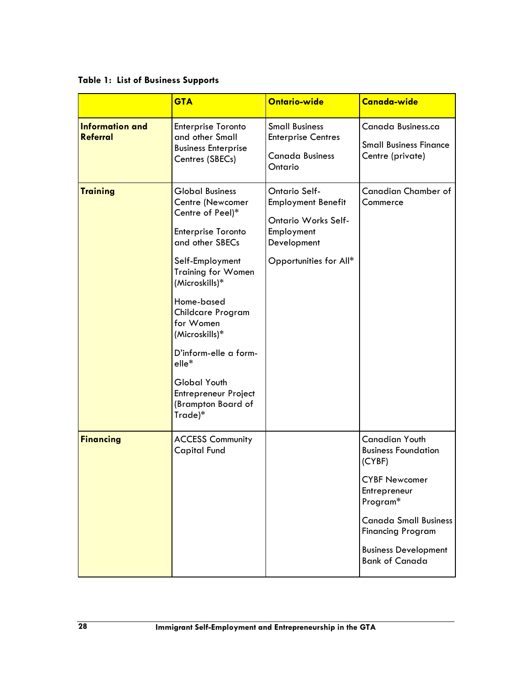Table 1: List of Business Supports

|                                           | <b>GTA</b>                                                                                                                                                                                                                                                                                                                                                           | Ontario-wide                                                                                                                           | Canada-wide                                                                                                                                                                                                                           |
|-------------------------------------------|----------------------------------------------------------------------------------------------------------------------------------------------------------------------------------------------------------------------------------------------------------------------------------------------------------------------------------------------------------------------|----------------------------------------------------------------------------------------------------------------------------------------|---------------------------------------------------------------------------------------------------------------------------------------------------------------------------------------------------------------------------------------|
| <b>Information and</b><br><b>Referral</b> | Enterprise Toronto<br>and other Small<br><b>Business Enterprise</b><br>Centres (SBECs)                                                                                                                                                                                                                                                                               | <b>Small Business</b><br><b>Enterprise Centres</b><br><b>Canada Business</b><br>Ontario                                                | Canada Business.ca<br><b>Small Business Finance</b><br>Centre (private)                                                                                                                                                               |
| <b>Training</b>                           | <b>Global Business</b><br>Centre (Newcomer<br>Centre of Peel)*<br><b>Enterprise Toronto</b><br>and other SBECs<br>Self-Employment<br><b>Training for Women</b><br>(Microskills)*<br>Home-based<br>Childcare Program<br>for Women<br>(Microskills)*<br>D'inform-elle a form-<br>elle*<br><b>Global Youth</b><br>Entrepreneur Project<br>(Brampton Board of<br>Trade)* | <b>Ontario Self-</b><br><b>Employment Benefit</b><br><b>Ontario Works Self-</b><br>Employment<br>Development<br>Opportunities for All* | <b>Canadian Chamber of</b><br>Commerce                                                                                                                                                                                                |
| <b>Financing</b>                          | <b>ACCESS Community</b><br><b>Capital Fund</b>                                                                                                                                                                                                                                                                                                                       |                                                                                                                                        | <b>Canadian Youth</b><br><b>Business Foundation</b><br>(CYBF)<br><b>CYBF Newcomer</b><br>Entrepreneur<br>Program*<br><b>Canada Small Business</b><br><b>Financing Program</b><br><b>Business Development</b><br><b>Bank of Canada</b> |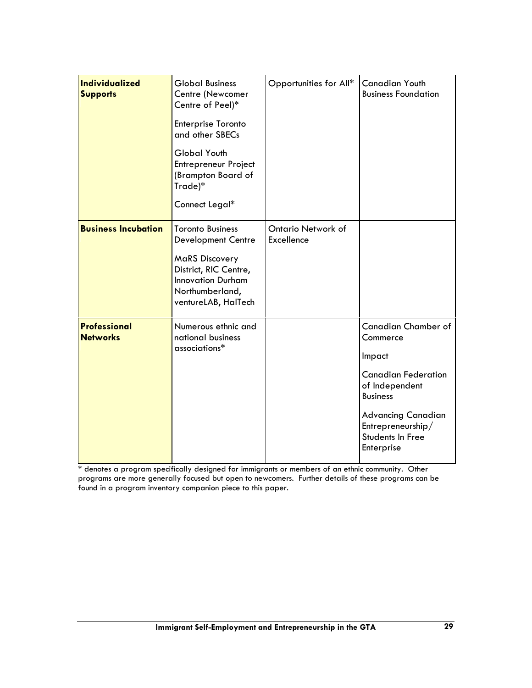| <b>Individualized</b><br><b>Supports</b> | <b>Global Business</b><br>Centre (Newcomer<br>Centre of Peel)*<br>Enterprise Toronto<br>and other SBECs<br><b>Global Youth</b><br><b>Entrepreneur Project</b><br>(Brampton Board of<br>Trade)*<br>Connect Legal* | Opportunities for All*           | <b>Canadian Youth</b><br><b>Business Foundation</b>                                                                                                                                                                       |
|------------------------------------------|------------------------------------------------------------------------------------------------------------------------------------------------------------------------------------------------------------------|----------------------------------|---------------------------------------------------------------------------------------------------------------------------------------------------------------------------------------------------------------------------|
| <b>Business Incubation</b>               | <b>Toronto Business</b><br><b>Development Centre</b><br><b>MaRS Discovery</b><br>District, RIC Centre,<br><b>Innovation Durham</b><br>Northumberland,<br>ventureLAB, HalTech                                     | Ontario Network of<br>Excellence |                                                                                                                                                                                                                           |
| <b>Professional</b><br><b>Networks</b>   | Numerous ethnic and<br>national business<br>associations*                                                                                                                                                        |                                  | <b>Canadian Chamber of</b><br>Commerce<br>Impact<br><b>Canadian Federation</b><br>of Independent<br><b>Business</b><br><b>Advancing Canadian</b><br>$\mathsf{Entrepreneurship}/$<br><b>Students In Free</b><br>Enterprise |

\* denotes a program specifically designed for immigrants or members of an ethnic community. Other programs are more generally focused but open to newcomers. Further details of these programs can be found in a program inventory companion piece to this paper.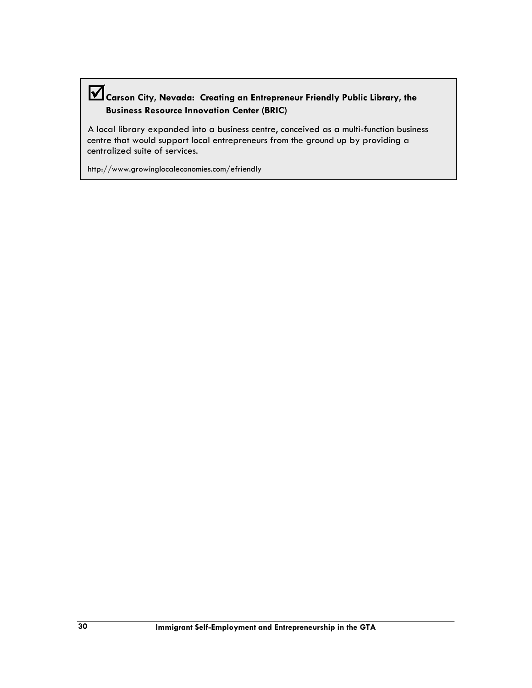## Carson City, Nevada: Creating an Entrepreneur Friendly Public Library, the Business Resource Innovation Center (BRIC)

A local library expanded into a business centre, conceived as a multi-function business centre that would support local entrepreneurs from the ground up by providing a centralized suite of services.

http://www.growinglocaleconomies.com/efriendly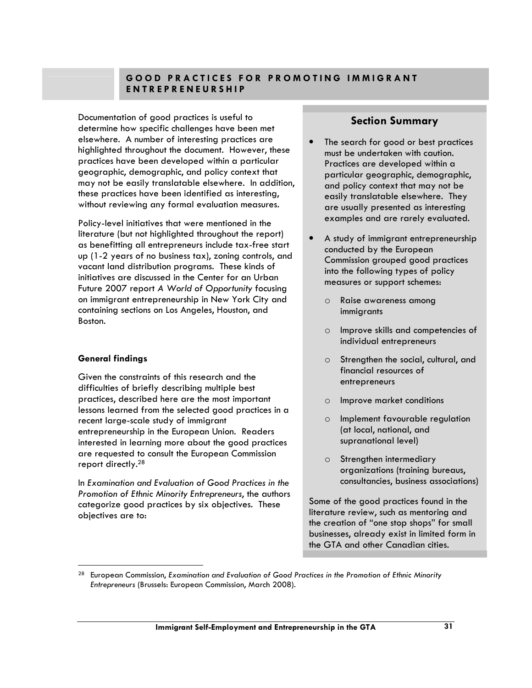## GOOD PRACTICES FOR PROMOTING IMMIGRANT E N T R E P R E N E U R S H I P

Documentation of good practices is useful to determine how specific challenges have been met elsewhere. A number of interesting practices are highlighted throughout the document. However, these practices have been developed within a particular geographic, demographic, and policy context that may not be easily translatable elsewhere. In addition, these practices have been identified as interesting, without reviewing any formal evaluation measures.

Policy-level initiatives that were mentioned in the literature (but not highlighted throughout the report) as benefitting all entrepreneurs include tax-free start up (1-2 years of no business tax), zoning controls, and vacant land distribution programs. These kinds of initiatives are discussed in the Center for an Urban Future 2007 report A World of Opportunity focusing on immigrant entrepreneurship in New York City and containing sections on Los Angeles, Houston, and Boston.

## General findings

 $\overline{a}$ 

Given the constraints of this research and the difficulties of briefly describing multiple best practices, described here are the most important lessons learned from the selected good practices in a recent large-scale study of immigrant entrepreneurship in the European Union. Readers interested in learning more about the good practices are requested to consult the European Commission report directly.<sup>28</sup>

In Examination and Evaluation of Good Practices in the Promotion of Ethnic Minority Entrepreneurs, the authors categorize good practices by six objectives. These objectives are to:

## Section Summary

- The search for good or best practices must be undertaken with caution. Practices are developed within a particular geographic, demographic, and policy context that may not be easily translatable elsewhere. They are usually presented as interesting examples and are rarely evaluated.
- A study of immigrant entrepreneurship conducted by the European Commission grouped good practices into the following types of policy measures or support schemes:
	- o Raise awareness among immigrants
	- o Improve skills and competencies of individual entrepreneurs
	- o Strengthen the social, cultural, and financial resources of entrepreneurs
	- o Improve market conditions
	- o Implement favourable regulation (at local, national, and supranational level)
	- o Strengthen intermediary organizations (training bureaus, consultancies, business associations)

Some of the good practices found in the literature review, such as mentoring and the creation of "one stop shops" for small businesses, already exist in limited form in the GTA and other Canadian cities.

<sup>28</sup> European Commission, Examination and Evaluation of Good Practices in the Promotion of Ethnic Minority Entrepreneurs (Brussels: European Commission, March 2008).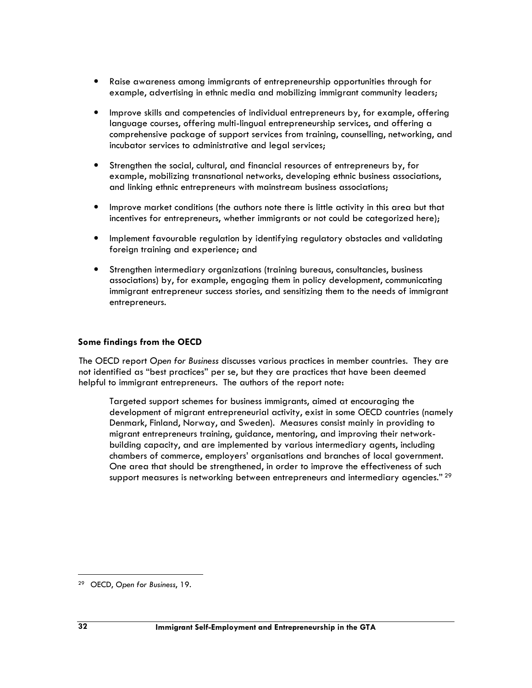- Raise awareness among immigrants of entrepreneurship opportunities through for example, advertising in ethnic media and mobilizing immigrant community leaders;
- Improve skills and competencies of individual entrepreneurs by, for example, offering language courses, offering multi-lingual entrepreneurship services, and offering a comprehensive package of support services from training, counselling, networking, and incubator services to administrative and legal services;
- Strengthen the social, cultural, and financial resources of entrepreneurs by, for example, mobilizing transnational networks, developing ethnic business associations, and linking ethnic entrepreneurs with mainstream business associations;
- Improve market conditions (the authors note there is little activity in this area but that incentives for entrepreneurs, whether immigrants or not could be categorized here);
- Implement favourable regulation by identifying regulatory obstacles and validating foreign training and experience; and
- Strengthen intermediary organizations (training bureaus, consultancies, business associations) by, for example, engaging them in policy development, communicating immigrant entrepreneur success stories, and sensitizing them to the needs of immigrant entrepreneurs.

#### Some findings from the OECD

The OECD report Open for Business discusses various practices in member countries. They are not identified as "best practices" per se, but they are practices that have been deemed helpful to immigrant entrepreneurs. The authors of the report note:

Targeted support schemes for business immigrants, aimed at encouraging the development of migrant entrepreneurial activity, exist in some OECD countries (namely Denmark, Finland, Norway, and Sweden). Measures consist mainly in providing to migrant entrepreneurs training, guidance, mentoring, and improving their networkbuilding capacity, and are implemented by various intermediary agents, including chambers of commerce, employers' organisations and branches of local government. One area that should be strengthened, in order to improve the effectiveness of such support measures is networking between entrepreneurs and intermediary agencies."<sup>29</sup>

<sup>29</sup> OECD, Open for Business, 19.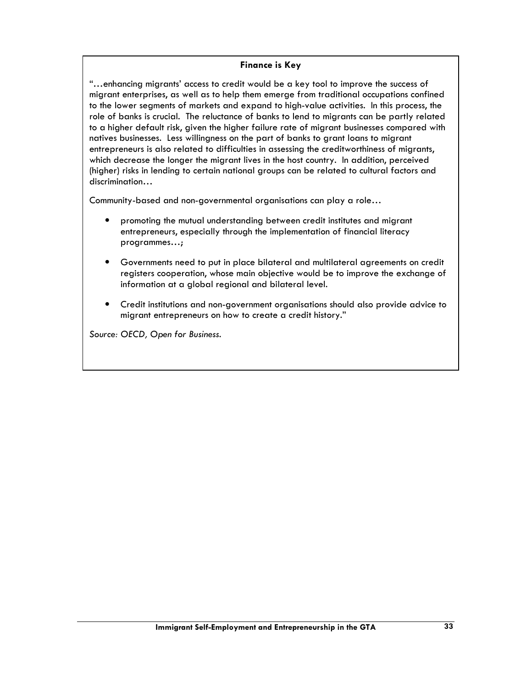#### Finance is Key

"…enhancing migrants' access to credit would be a key tool to improve the success of migrant enterprises, as well as to help them emerge from traditional occupations confined to the lower segments of markets and expand to high-value activities. In this process, the role of banks is crucial. The reluctance of banks to lend to migrants can be partly related to a higher default risk, given the higher failure rate of migrant businesses compared with natives businesses. Less willingness on the part of banks to grant loans to migrant entrepreneurs is also related to difficulties in assessing the creditworthiness of migrants, which decrease the longer the migrant lives in the host country. In addition, perceived (higher) risks in lending to certain national groups can be related to cultural factors and discrimination…

Community-based and non-governmental organisations can play a role…

- promoting the mutual understanding between credit institutes and migrant entrepreneurs, especially through the implementation of financial literacy programmes…;
- Governments need to put in place bilateral and multilateral agreements on credit registers cooperation, whose main objective would be to improve the exchange of information at a global regional and bilateral level.
- Credit institutions and non-government organisations should also provide advice to migrant entrepreneurs on how to create a credit history."

Source: OECD, Open for Business.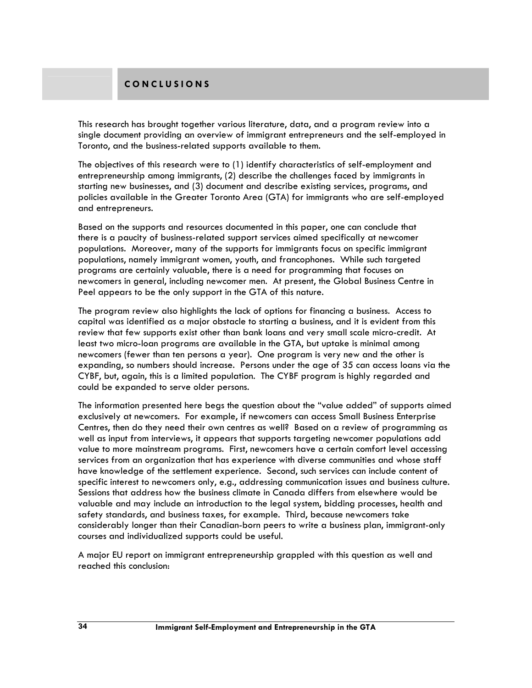## C O N C L U S I O N S

This research has brought together various literature, data, and a program review into a single document providing an overview of immigrant entrepreneurs and the self-employed in Toronto, and the business-related supports available to them.

The objectives of this research were to (1) identify characteristics of self-employment and entrepreneurship among immigrants, (2) describe the challenges faced by immigrants in starting new businesses, and (3) document and describe existing services, programs, and policies available in the Greater Toronto Area (GTA) for immigrants who are self-employed and entrepreneurs.

Based on the supports and resources documented in this paper, one can conclude that there is a paucity of business-related support services aimed specifically at newcomer populations. Moreover, many of the supports for immigrants focus on specific immigrant populations, namely immigrant women, youth, and francophones. While such targeted programs are certainly valuable, there is a need for programming that focuses on newcomers in general, including newcomer men. At present, the Global Business Centre in Peel appears to be the only support in the GTA of this nature.

The program review also highlights the lack of options for financing a business. Access to capital was identified as a major obstacle to starting a business, and it is evident from this review that few supports exist other than bank loans and very small scale micro-credit. At least two micro-loan programs are available in the GTA, but uptake is minimal among newcomers (fewer than ten persons a year). One program is very new and the other is expanding, so numbers should increase. Persons under the age of 35 can access loans via the CYBF, but, again, this is a limited population. The CYBF program is highly regarded and could be expanded to serve older persons.

The information presented here begs the question about the "value added" of supports aimed exclusively at newcomers. For example, if newcomers can access Small Business Enterprise Centres, then do they need their own centres as well? Based on a review of programming as well as input from interviews, it appears that supports targeting newcomer populations add value to more mainstream programs. First, newcomers have a certain comfort level accessing services from an organization that has experience with diverse communities and whose staff have knowledge of the settlement experience. Second, such services can include content of specific interest to newcomers only, e.g., addressing communication issues and business culture. Sessions that address how the business climate in Canada differs from elsewhere would be valuable and may include an introduction to the legal system, bidding processes, health and safety standards, and business taxes, for example. Third, because newcomers take considerably longer than their Canadian-born peers to write a business plan, immigrant-only courses and individualized supports could be useful.

A major EU report on immigrant entrepreneurship grappled with this question as well and reached this conclusion: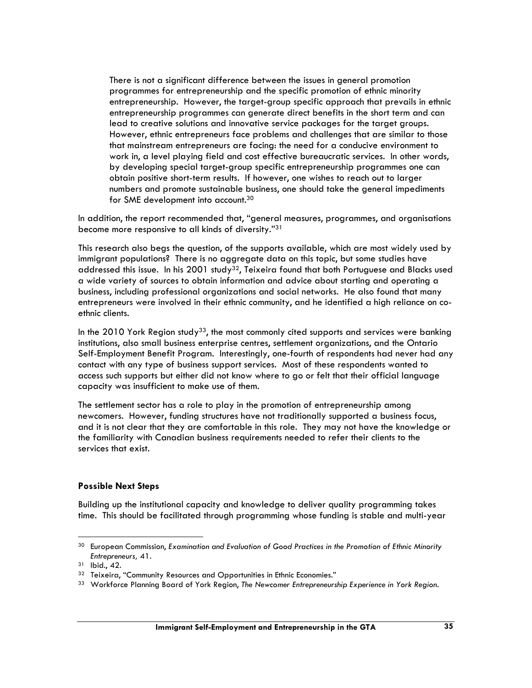There is not a significant difference between the issues in general promotion programmes for entrepreneurship and the specific promotion of ethnic minority entrepreneurship. However, the target-group specific approach that prevails in ethnic entrepreneurship programmes can generate direct benefits in the short term and can lead to creative solutions and innovative service packages for the target groups. However, ethnic entrepreneurs face problems and challenges that are similar to those that mainstream entrepreneurs are facing: the need for a conducive environment to work in, a level playing field and cost effective bureaucratic services. In other words, by developing special target-group specific entrepreneurship programmes one can obtain positive short-term results. If however, one wishes to reach out to larger numbers and promote sustainable business, one should take the general impediments for SME development into account.<sup>30</sup>

In addition, the report recommended that, "general measures, programmes, and organisations become more responsive to all kinds of diversity."<sup>31</sup>

This research also begs the question, of the supports available, which are most widely used by immigrant populations? There is no aggregate data on this topic, but some studies have addressed this issue. In his 2001 study<sup>32</sup>, Teixeira found that both Portuguese and Blacks used a wide variety of sources to obtain information and advice about starting and operating a business, including professional organizations and social networks. He also found that many entrepreneurs were involved in their ethnic community, and he identified a high reliance on coethnic clients.

In the 2010 York Region study<sup>33</sup>, the most commonly cited supports and services were banking institutions, also small business enterprise centres, settlement organizations, and the Ontario Self-Employment Benefit Program. Interestingly, one-fourth of respondents had never had any contact with any type of business support services. Most of these respondents wanted to access such supports but either did not know where to go or felt that their official language capacity was insufficient to make use of them.

The settlement sector has a role to play in the promotion of entrepreneurship among newcomers. However, funding structures have not traditionally supported a business focus, and it is not clear that they are comfortable in this role. They may not have the knowledge or the familiarity with Canadian business requirements needed to refer their clients to the services that exist.

#### Possible Next Steps

Building up the institutional capacity and knowledge to deliver quality programming takes time. This should be facilitated through programming whose funding is stable and multi-year

<sup>&</sup>lt;sup>30</sup> European Commission, Examination and Evaluation of Good Practices in the Promotion of Ethnic Minority Entrepreneurs, 41.

<sup>31</sup> Ibid., 42.

<sup>32</sup> Teixeira, "Community Resources and Opportunities in Ethnic Economies."

<sup>33</sup> Workforce Planning Board of York Region, The Newcomer Entrepreneurship Experience in York Region.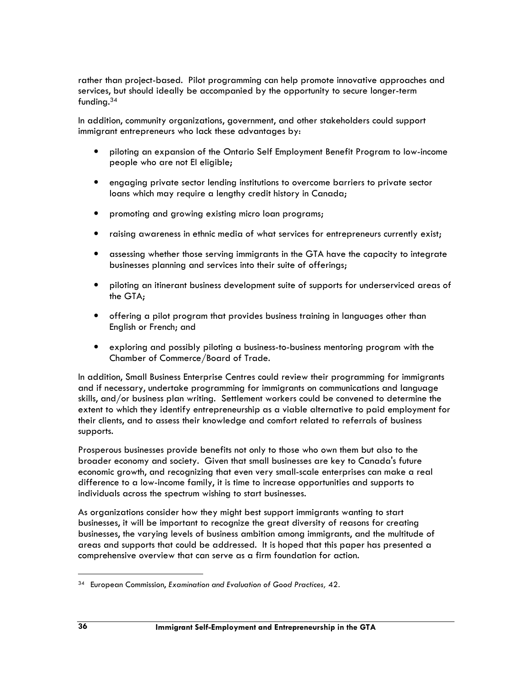rather than project-based. Pilot programming can help promote innovative approaches and services, but should ideally be accompanied by the opportunity to secure longer-term funding.<sup>34</sup>

In addition, community organizations, government, and other stakeholders could support immigrant entrepreneurs who lack these advantages by:

- piloting an expansion of the Ontario Self Employment Benefit Program to low-income people who are not EI eligible;
- engaging private sector lending institutions to overcome barriers to private sector loans which may require a lengthy credit history in Canada;
- promoting and growing existing micro loan programs;
- raising awareness in ethnic media of what services for entrepreneurs currently exist;
- assessing whether those serving immigrants in the GTA have the capacity to integrate businesses planning and services into their suite of offerings;
- piloting an itinerant business development suite of supports for underserviced areas of the GTA;
- offering a pilot program that provides business training in languages other than English or French; and
- exploring and possibly piloting a business-to-business mentoring program with the Chamber of Commerce/Board of Trade.

In addition, Small Business Enterprise Centres could review their programming for immigrants and if necessary, undertake programming for immigrants on communications and language skills, and/or business plan writing. Settlement workers could be convened to determine the extent to which they identify entrepreneurship as a viable alternative to paid employment for their clients, and to assess their knowledge and comfort related to referrals of business supports.

Prosperous businesses provide benefits not only to those who own them but also to the broader economy and society. Given that small businesses are key to Canada's future economic growth, and recognizing that even very small-scale enterprises can make a real difference to a low-income family, it is time to increase opportunities and supports to individuals across the spectrum wishing to start businesses.

As organizations consider how they might best support immigrants wanting to start businesses, it will be important to recognize the great diversity of reasons for creating businesses, the varying levels of business ambition among immigrants, and the multitude of areas and supports that could be addressed. It is hoped that this paper has presented a comprehensive overview that can serve as a firm foundation for action.

<sup>34</sup> European Commission, Examination and Evaluation of Good Practices, 42.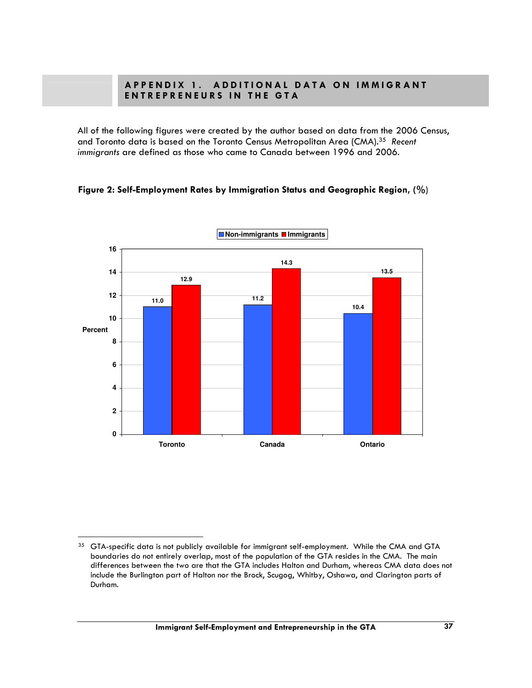### A P P E N D IX 1. A D D I T I O N A L D A T A O N I M M I G R A N T ENTREPRENEURS IN THE GTA

All of the following figures were created by the author based on data from the 2006 Census, and Toronto data is based on the Toronto Census Metropolitan Area (CMA).<sup>35</sup> Recent immigrants are defined as those who came to Canada between 1996 and 2006.





<sup>&</sup>lt;sup>35</sup> GTA-specific data is not publicly available for immigrant self-employment. While the CMA and GTA boundaries do not entirely overlap, most of the population of the GTA resides in the CMA. The main differences between the two are that the GTA includes Halton and Durham, whereas CMA data does not include the Burlington part of Halton nor the Brock, Scugog, Whitby, Oshawa, and Clarington parts of Durham.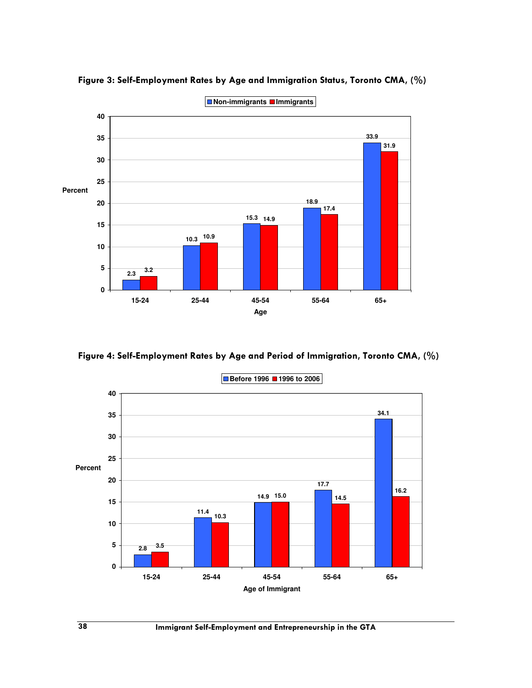

Figure 3: Self-Employment Rates by Age and Immigration Status, Toronto CMA, (%)

Figure 4: Self-Employment Rates by Age and Period of Immigration, Toronto CMA, (%)

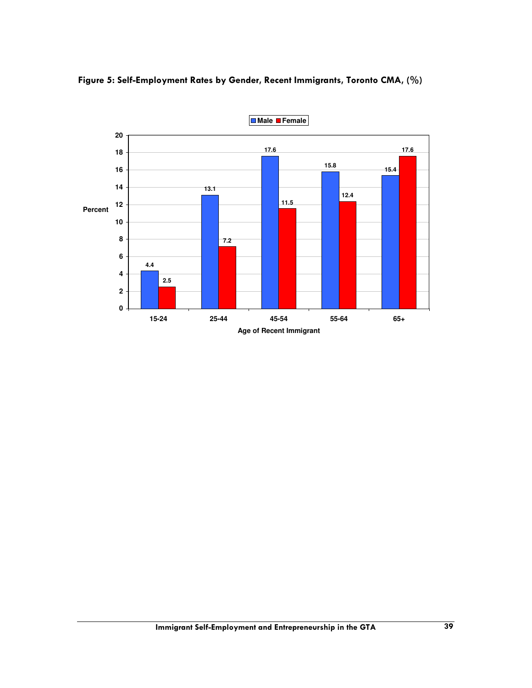

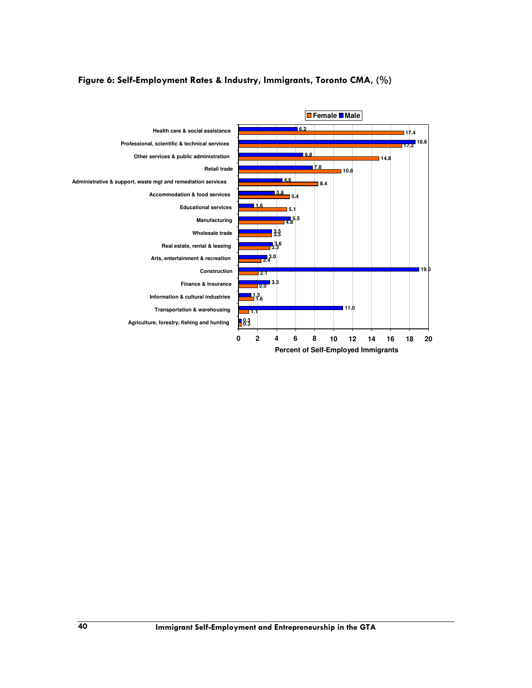

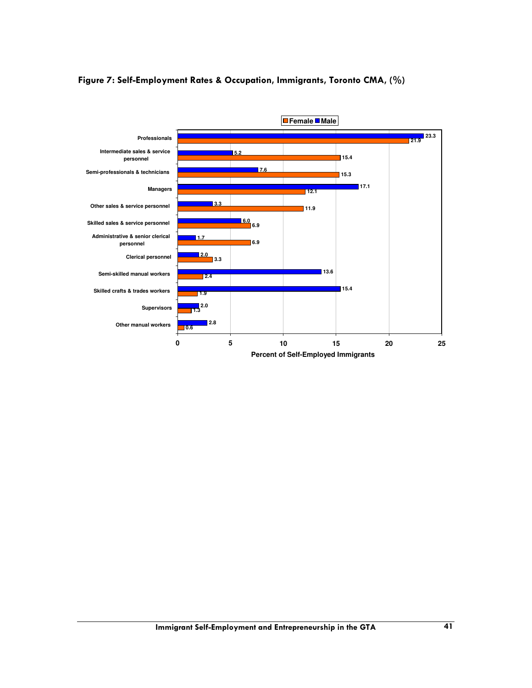

#### Figure 7: Self-Employment Rates & Occupation, Immigrants, Toronto CMA, (%)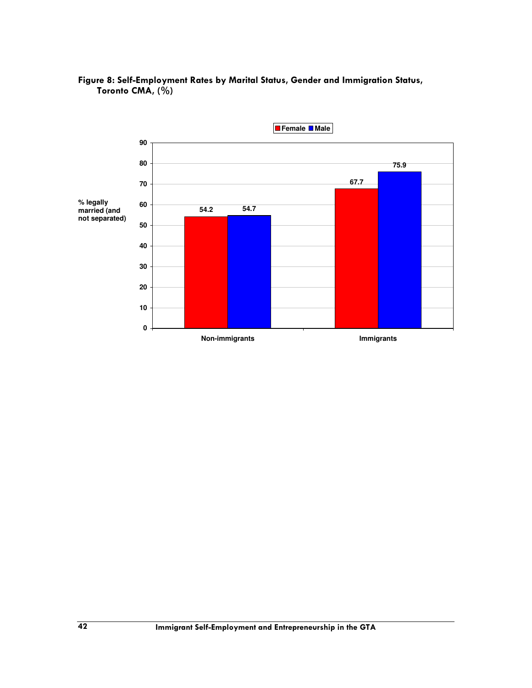

#### Figure 8: Self-Employment Rates by Marital Status, Gender and Immigration Status, Toronto CMA, (%)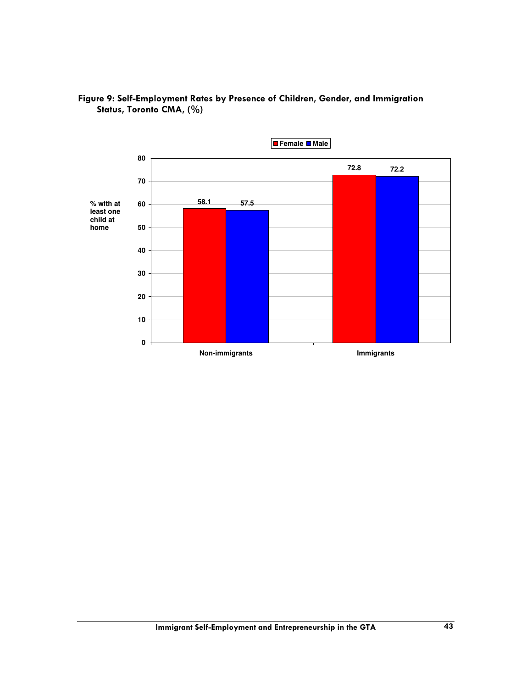

## Figure 9: Self-Employment Rates by Presence of Children, Gender, and Immigration Status, Toronto CMA, (%)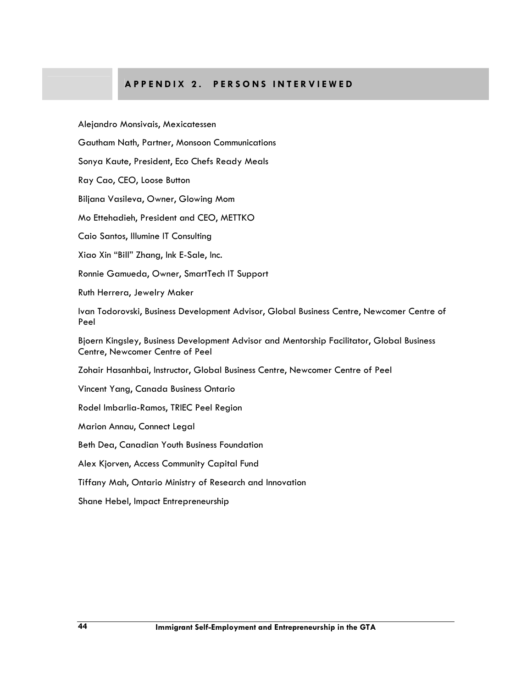#### A P P E N D I X 2. P E R S O N S IN T E R V I E W E D

Alejandro Monsivais, Mexicatessen

Gautham Nath, Partner, Monsoon Communications

Sonya Kaute, President, Eco Chefs Ready Meals

Ray Cao, CEO, Loose Button

Biljana Vasileva, Owner, Glowing Mom

Mo Ettehadieh, President and CEO, METTKO

Caio Santos, Illumine IT Consulting

Xiao Xin "Bill" Zhang, Ink E-Sale, Inc.

Ronnie Gamueda, Owner, SmartTech IT Support

Ruth Herrera, Jewelry Maker

Ivan Todorovski, Business Development Advisor, Global Business Centre, Newcomer Centre of Peel

Bjoern Kingsley, Business Development Advisor and Mentorship Facilitator, Global Business Centre, Newcomer Centre of Peel

Zohair Hasanhbai, Instructor, Global Business Centre, Newcomer Centre of Peel

Vincent Yang, Canada Business Ontario

Rodel Imbarlia-Ramos, TRIEC Peel Region

Marion Annau, Connect Legal

Beth Dea, Canadian Youth Business Foundation

Alex Kjorven, Access Community Capital Fund

Tiffany Mah, Ontario Ministry of Research and Innovation

Shane Hebel, Impact Entrepreneurship